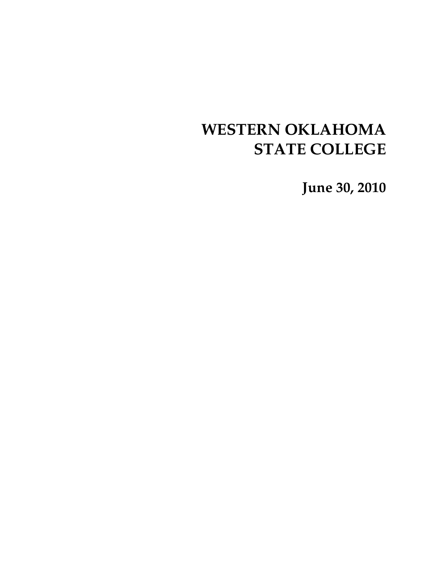# **WESTERN OKLAHOMA STATE COLLEGE**

**June 30, 2010**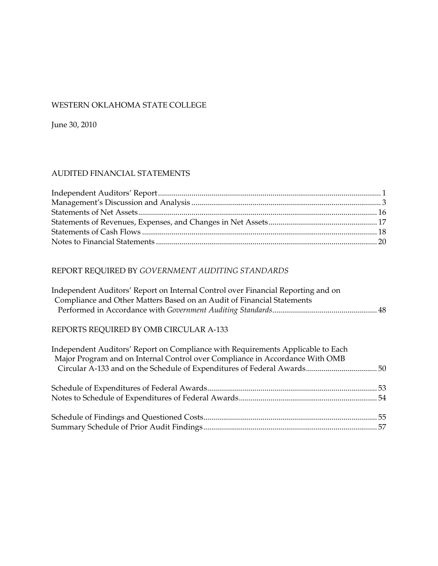### WESTERN OKLAHOMA STATE COLLEGE

June 30, 2010

# AUDITED FINANCIAL STATEMENTS

# REPORT REQUIRED BY *GOVERNMENT AUDITING STANDARDS*

| Independent Auditors' Report on Internal Control over Financial Reporting and on |  |
|----------------------------------------------------------------------------------|--|
| Compliance and Other Matters Based on an Audit of Financial Statements           |  |
|                                                                                  |  |

REPORTS REQUIRED BY OMB CIRCULAR A-133

| Independent Auditors' Report on Compliance with Requirements Applicable to Each |  |
|---------------------------------------------------------------------------------|--|
| Major Program and on Internal Control over Compliance in Accordance With OMB    |  |
|                                                                                 |  |
|                                                                                 |  |
|                                                                                 |  |
|                                                                                 |  |
|                                                                                 |  |
|                                                                                 |  |
|                                                                                 |  |
|                                                                                 |  |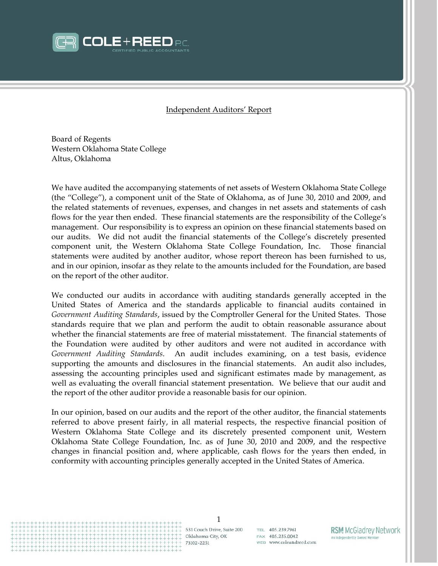

# Independent Auditors' Report

Board of Regents Western Oklahoma State College Altus, Oklahoma

We have audited the accompanying statements of net assets of Western Oklahoma State College (the "College"), a component unit of the State of Oklahoma, as of June 30, 2010 and 2009, and the related statements of revenues, expenses, and changes in net assets and statements of cash flows for the year then ended. These financial statements are the responsibility of the College's management. Our responsibility is to express an opinion on these financial statements based on our audits. We did not audit the financial statements of the College's discretely presented component unit, the Western Oklahoma State College Foundation, Inc. Those financial statements were audited by another auditor, whose report thereon has been furnished to us, and in our opinion, insofar as they relate to the amounts included for the Foundation, are based on the report of the other auditor.

We conducted our audits in accordance with auditing standards generally accepted in the United States of America and the standards applicable to financial audits contained in *Government Auditing Standards*, issued by the Comptroller General for the United States. Those standards require that we plan and perform the audit to obtain reasonable assurance about whether the financial statements are free of material misstatement. The financial statements of the Foundation were audited by other auditors and were not audited in accordance with *Government Auditing Standards*. An audit includes examining, on a test basis, evidence supporting the amounts and disclosures in the financial statements. An audit also includes, assessing the accounting principles used and significant estimates made by management, as well as evaluating the overall financial statement presentation. We believe that our audit and the report of the other auditor provide a reasonable basis for our opinion.

In our opinion, based on our audits and the report of the other auditor, the financial statements referred to above present fairly, in all material respects, the respective financial position of Western Oklahoma State College and its discretely presented component unit, Western Oklahoma State College Foundation, Inc. as of June 30, 2010 and 2009, and the respective changes in financial position and, where applicable, cash flows for the years then ended, in conformity with accounting principles generally accepted in the United States of America.



531 Couch Drive, Suite 200 Oklahoma City, OK 73102-2251

TEL 405.239.7961 FAX 405.235.0042 WEB www.coleandreed.com **RSM McGladrey Network** An Independently Owned Member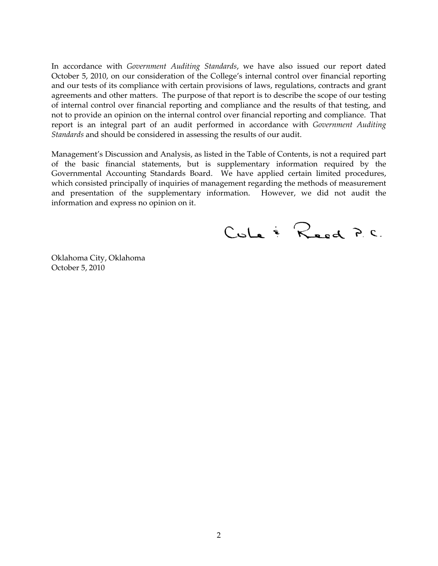In accordance with *Government Auditing Standards*, we have also issued our report dated October 5, 2010, on our consideration of the College's internal control over financial reporting and our tests of its compliance with certain provisions of laws, regulations, contracts and grant agreements and other matters. The purpose of that report is to describe the scope of our testing of internal control over financial reporting and compliance and the results of that testing, and not to provide an opinion on the internal control over financial reporting and compliance. That report is an integral part of an audit performed in accordance with *Government Auditing Standards* and should be considered in assessing the results of our audit.

Management's Discussion and Analysis, as listed in the Table of Contents, is not a required part of the basic financial statements, but is supplementary information required by the Governmental Accounting Standards Board. We have applied certain limited procedures, which consisted principally of inquiries of management regarding the methods of measurement and presentation of the supplementary information. However, we did not audit the information and express no opinion on it.

CuLe & Reed P.C.

Oklahoma City, Oklahoma October 5, 2010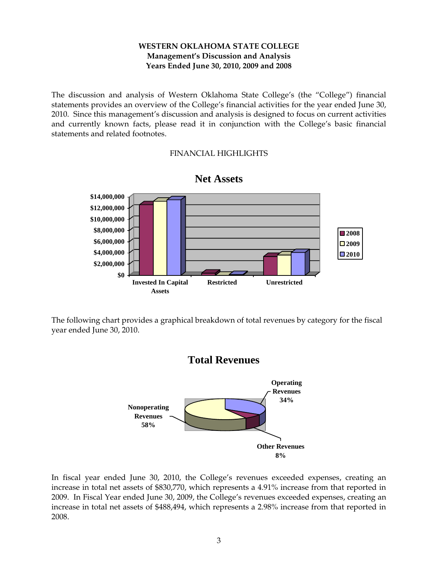The discussion and analysis of Western Oklahoma State College's (the "College") financial statements provides an overview of the College's financial activities for the year ended June 30, 2010. Since this management's discussion and analysis is designed to focus on current activities and currently known facts, please read it in conjunction with the College's basic financial statements and related footnotes.

# FINANCIAL HIGHLIGHTS



# **Net Assets**

The following chart provides a graphical breakdown of total revenues by category for the fiscal year ended June 30, 2010.



In fiscal year ended June 30, 2010, the College's revenues exceeded expenses, creating an increase in total net assets of \$830,770, which represents a 4.91% increase from that reported in 2009. In Fiscal Year ended June 30, 2009, the College's revenues exceeded expenses, creating an increase in total net assets of \$488,494, which represents a 2.98% increase from that reported in 2008.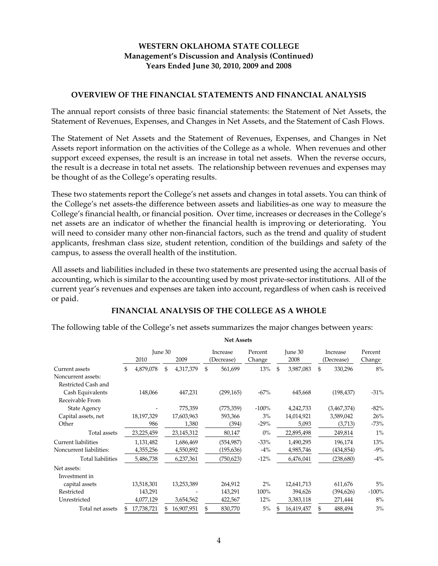#### **OVERVIEW OF THE FINANCIAL STATEMENTS AND FINANCIAL ANALYSIS**

The annual report consists of three basic financial statements: the Statement of Net Assets, the Statement of Revenues, Expenses, and Changes in Net Assets, and the Statement of Cash Flows.

The Statement of Net Assets and the Statement of Revenues, Expenses, and Changes in Net Assets report information on the activities of the College as a whole. When revenues and other support exceed expenses, the result is an increase in total net assets. When the reverse occurs, the result is a decrease in total net assets. The relationship between revenues and expenses may be thought of as the College's operating results.

These two statements report the College's net assets and changes in total assets. You can think of the College's net assets-the difference between assets and liabilities-as one way to measure the College's financial health, or financial position. Over time, increases or decreases in the College's net assets are an indicator of whether the financial health is improving or deteriorating. You will need to consider many other non-financial factors, such as the trend and quality of student applicants, freshman class size, student retention, condition of the buildings and safety of the campus, to assess the overall health of the institution.

All assets and liabilities included in these two statements are presented using the accrual basis of accounting, which is similar to the accounting used by most private-sector institutions. All of the current year's revenues and expenses are taken into account, regardless of when cash is received or paid.

# **FINANCIAL ANALYSIS OF THE COLLEGE AS A WHOLE**

The following table of the College's net assets summarizes the major changes between years:

|                            |                  |                  |            | <b>Net Assets</b> |        |         |      |            |            |             |         |  |
|----------------------------|------------------|------------------|------------|-------------------|--------|---------|------|------------|------------|-------------|---------|--|
|                            | June 30          |                  | Increase   |                   |        | Percent |      | June 30    |            | Increase    | Percent |  |
|                            | 2010             | 2009             | (Decrease) |                   | Change |         | 2008 |            | (Decrease) |             | Change  |  |
| Current assets             | \$<br>4,879,078  | \$<br>4,317,379  | \$         | 561,699           |        | 13%     | \$   | 3,987,083  | \$         | 330,296     | 8%      |  |
| Noncurrent assets:         |                  |                  |            |                   |        |         |      |            |            |             |         |  |
| Restricted Cash and        |                  |                  |            |                   |        |         |      |            |            |             |         |  |
| Cash Equivalents           | 148,066          | 447,231          |            | (299, 165)        |        | $-67%$  |      | 645,668    |            | (198, 437)  | $-31%$  |  |
| Receivable From            |                  |                  |            |                   |        |         |      |            |            |             |         |  |
| <b>State Agency</b>        |                  | 775,359          |            | (775, 359)        |        | $-100%$ |      | 4,242,733  |            | (3,467,374) | $-82%$  |  |
| Capital assets, net        | 18,197,329       | 17,603,963       |            | 593,366           |        | 3%      |      | 14,014,921 |            | 3,589,042   | 26%     |  |
| Other                      | 986              | 1,380            |            | (394)             |        | $-29%$  |      | 5,093      |            | (3,713)     | $-73%$  |  |
| Total assets               | 23,225,459       | 23,145,312       |            | 80,147            |        | $0\%$   |      | 22,895,498 |            | 249,814     | $1\%$   |  |
| <b>Current liabilities</b> | 1,131,482        | 1,686,469        |            | (554, 987)        |        | $-33%$  |      | 1,490,295  |            | 196,174     | 13%     |  |
| Noncurrent liabilities:    | 4,355,256        | 4,550,892        |            | (195,636)         |        | $-4%$   |      | 4,985,746  |            | (434,854)   | $-9\%$  |  |
| Total liabilities          | 5,486,738        | 6,237,361        |            | (750, 623)        |        | $-12%$  |      | 6,476,041  |            | (238,680)   | $-4\%$  |  |
| Net assets:                |                  |                  |            |                   |        |         |      |            |            |             |         |  |
| Investment in              |                  |                  |            |                   |        |         |      |            |            |             |         |  |
| capital assets             | 13,518,301       | 13,253,389       |            | 264,912           |        | $2\%$   |      | 12,641,713 |            | 611,676     | 5%      |  |
| Restricted                 | 143,291          |                  |            | 143,291           |        | 100%    |      | 394,626    |            | (394, 626)  | $-100%$ |  |
| Unrestricted               | 4,077,129        | 3,654,562        |            | 422,567           |        | 12%     |      | 3,383,118  |            | 271,444     | 8%      |  |
| Total net assets           | \$<br>17,738,721 | \$<br>16,907,951 | \$         | 830,770           |        | 5%      |      | 16,419,457 | \$         | 488,494     | 3%      |  |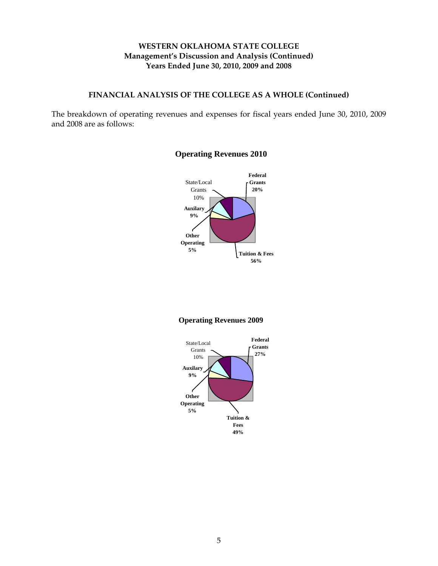### **FINANCIAL ANALYSIS OF THE COLLEGE AS A WHOLE (Continued)**

The breakdown of operating revenues and expenses for fiscal years ended June 30, 2010, 2009 and 2008 are as follows:



# **Operating Revenues 2010**

#### **Operating Revenues 2009**

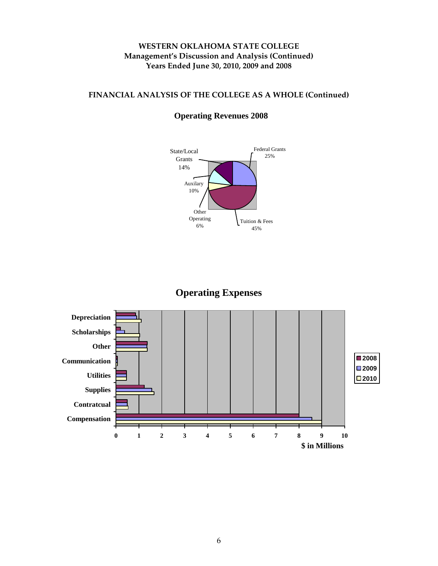# **FINANCIAL ANALYSIS OF THE COLLEGE AS A WHOLE (Continued)**



# **Operating Revenues 2008**

# **Operating Expenses**

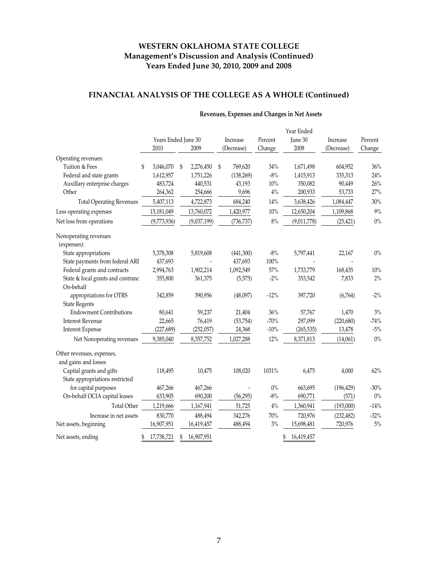# **FINANCIAL ANALYSIS OF THE COLLEGE AS A WHOLE (Continued)**

|                                   |                     |                 |               |         | Year Ended       |            |         |
|-----------------------------------|---------------------|-----------------|---------------|---------|------------------|------------|---------|
|                                   | Years Ended June 30 |                 | Increase      | Percent | June 30          | Increase   | Percent |
|                                   | 2010                | 2009            | (Decrease)    | Change  | 2008             | (Decrease) | Change  |
| Operating revenues:               |                     |                 |               |         |                  |            |         |
| Tuition & Fees                    | \$<br>3,046,070     | \$<br>2,276,450 | \$<br>769,620 | $34\%$  | 1,671,498        | 604,952    | 36%     |
| Federal and state grants          | 1,612,957           | 1,751,226       | (138, 269)    | $-8%$   | 1,415,913        | 335,313    | 24%     |
| Auxillary enterprise charges      | 483,724             | 440,531         | 43,193        | 10%     | 350,082          | 90,449     | 26%     |
| Other                             | 264,362             | 254,666         | 9,696         | $4\%$   | 200,933          | 53,733     | 27%     |
| <b>Total Operating Revenues</b>   | 5,407,113           | 4,722,873       | 684,240       | $14\%$  | 3,638,426        | 1,084,447  | 30%     |
| Less operating expenses           | 15,181,049          | 13,760,072      | 1,420,977     | $10\%$  | 12,650,204       | 1,109,868  | 9%      |
| Net loss from operations          | (9,773,936)         | (9,037,199)     | (736, 737)    | $8\%$   | (9,011,778)      | (25, 421)  | $0\%$   |
| Nonoperating revenues             |                     |                 |               |         |                  |            |         |
| (expenses):                       |                     |                 |               |         |                  |            |         |
| State appropriations              | 5,378,308           | 5,819,608       | (441,300)     | $-8%$   | 5,797,441        | 22,167     | $0\%$   |
| State payments from federal ARI   | 437,693             |                 | 437,693       | 100%    |                  |            |         |
| Federal grants and contracts      | 2,994,763           | 1,902,214       | 1,092,549     | 57%     | 1,733,779        | 168,435    | 10%     |
| State & local grants and contranc | 355,800             | 361,375         | (5, 575)      | $-2\%$  | 353,542          | 7,833      | 2%      |
| On-behalf                         |                     |                 |               |         |                  |            |         |
| appropriations for OTRS           | 342,859             | 390,956         | (48,097)      | $-12%$  | 397,720          | (6,764)    | $-2%$   |
| <b>State Regents</b>              |                     |                 |               |         |                  |            |         |
| <b>Endowment Contributions</b>    | 80,641              | 59,237          | 21,404        | 36%     | 57,767           | 1,470      | 3%      |
| <b>Interest Revenue</b>           | 22,665              | 76,419          | (53, 754)     | $-70%$  | 297,099          | (220,680)  | $-74%$  |
| <b>Interest Expense</b>           | (227, 689)          | (252,057)       | 24,368        | $-10%$  | (265, 535)       | 13,478     | $-5%$   |
| Net Nonoperating revenues         | 9,385,040           | 8,357,752       | 1,027,288     | 12%     | 8,371,813        | (14,061)   | $0\%$   |
| Other revenues, expenses,         |                     |                 |               |         |                  |            |         |
| and gains and losses              |                     |                 |               |         |                  |            |         |
| Capital grants and gifts          | 118,495             | 10,475          | 108,020       | 1031%   | 6,475            | 4,000      | 62%     |
| State appropriations restricted   |                     |                 |               |         |                  |            |         |
| for capital purposes              | 467,266             | 467,266         |               | $0\%$   | 663,695          | (196, 429) | $-30%$  |
| On-behalf OCIA capital leases     | 633,905             | 690,200         | (56, 295)     | $-8%$   | 690,771          | (571)      | $0\%$   |
| <b>Total Other</b>                | 1,219,666           | 1,167,941       | 51,725        | $4\%$   | 1,360,941        | (193,000)  | $-14%$  |
| Increase in net assets            | 830,770             | 488,494         | 342,276       | 70%     | 720,976          | (232, 482) | $-32%$  |
| Net assets, beginning             | 16,907,951          | 16,419,457      | 488,494       | $3\%$   | 15,698,481       | 720,976    | $5\%$   |
| Net assets, ending                | \$<br>17,738,721    | 16,907,951      |               |         | \$<br>16,419,457 |            |         |

#### **Revenues, Expenses and Changes in Net Assets**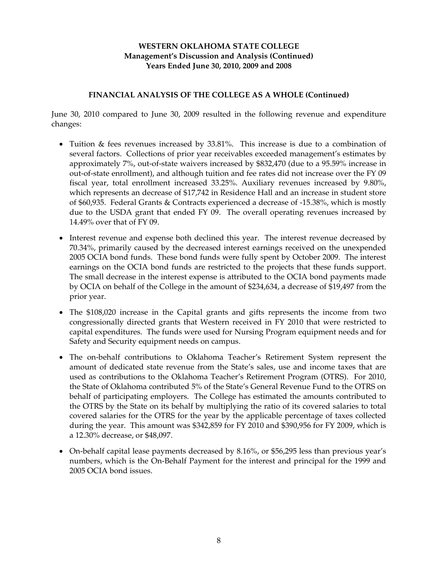# **FINANCIAL ANALYSIS OF THE COLLEGE AS A WHOLE (Continued)**

June 30, 2010 compared to June 30, 2009 resulted in the following revenue and expenditure changes:

- Tuition & fees revenues increased by 33.81%. This increase is due to a combination of several factors. Collections of prior year receivables exceeded management's estimates by approximately 7%, out-of-state waivers increased by \$832,470 (due to a 95.59% increase in out-of-state enrollment), and although tuition and fee rates did not increase over the FY 09 fiscal year, total enrollment increased 33.25%. Auxiliary revenues increased by 9.80%, which represents an decrease of \$17,742 in Residence Hall and an increase in student store of \$60,935. Federal Grants & Contracts experienced a decrease of -15.38%, which is mostly due to the USDA grant that ended FY 09. The overall operating revenues increased by 14.49% over that of FY 09.
- Interest revenue and expense both declined this year. The interest revenue decreased by 70.34%, primarily caused by the decreased interest earnings received on the unexpended 2005 OCIA bond funds. These bond funds were fully spent by October 2009. The interest earnings on the OCIA bond funds are restricted to the projects that these funds support. The small decrease in the interest expense is attributed to the OCIA bond payments made by OCIA on behalf of the College in the amount of \$234,634, a decrease of \$19,497 from the prior year.
- The \$108,020 increase in the Capital grants and gifts represents the income from two congressionally directed grants that Western received in FY 2010 that were restricted to capital expenditures. The funds were used for Nursing Program equipment needs and for Safety and Security equipment needs on campus.
- The on-behalf contributions to Oklahoma Teacher's Retirement System represent the amount of dedicated state revenue from the State's sales, use and income taxes that are used as contributions to the Oklahoma Teacher's Retirement Program (OTRS). For 2010, the State of Oklahoma contributed 5% of the State's General Revenue Fund to the OTRS on behalf of participating employers. The College has estimated the amounts contributed to the OTRS by the State on its behalf by multiplying the ratio of its covered salaries to total covered salaries for the OTRS for the year by the applicable percentage of taxes collected during the year. This amount was \$342,859 for FY 2010 and \$390,956 for FY 2009, which is a 12.30% decrease, or \$48,097.
- On-behalf capital lease payments decreased by 8.16%, or \$56,295 less than previous year's numbers, which is the On-Behalf Payment for the interest and principal for the 1999 and 2005 OCIA bond issues.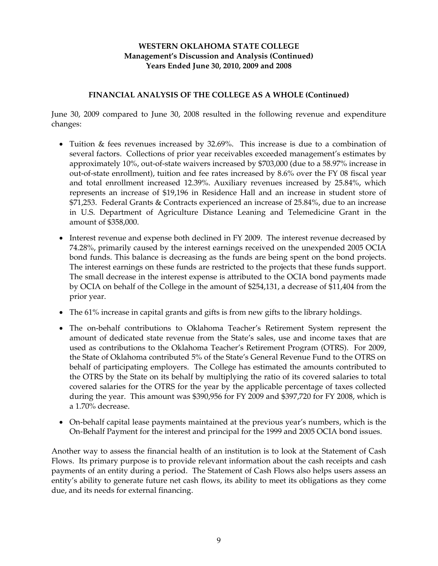# **FINANCIAL ANALYSIS OF THE COLLEGE AS A WHOLE (Continued)**

June 30, 2009 compared to June 30, 2008 resulted in the following revenue and expenditure changes:

- Tuition & fees revenues increased by 32.69%. This increase is due to a combination of several factors. Collections of prior year receivables exceeded management's estimates by approximately 10%, out-of-state waivers increased by \$703,000 (due to a 58.97% increase in out-of-state enrollment), tuition and fee rates increased by 8.6% over the FY 08 fiscal year and total enrollment increased 12.39%. Auxiliary revenues increased by 25.84%, which represents an increase of \$19,196 in Residence Hall and an increase in student store of \$71,253. Federal Grants & Contracts experienced an increase of 25.84%, due to an increase in U.S. Department of Agriculture Distance Leaning and Telemedicine Grant in the amount of \$358,000.
- Interest revenue and expense both declined in FY 2009. The interest revenue decreased by 74.28%, primarily caused by the interest earnings received on the unexpended 2005 OCIA bond funds. This balance is decreasing as the funds are being spent on the bond projects. The interest earnings on these funds are restricted to the projects that these funds support. The small decrease in the interest expense is attributed to the OCIA bond payments made by OCIA on behalf of the College in the amount of \$254,131, a decrease of \$11,404 from the prior year.
- The 61% increase in capital grants and gifts is from new gifts to the library holdings.
- The on-behalf contributions to Oklahoma Teacher's Retirement System represent the amount of dedicated state revenue from the State's sales, use and income taxes that are used as contributions to the Oklahoma Teacher's Retirement Program (OTRS). For 2009, the State of Oklahoma contributed 5% of the State's General Revenue Fund to the OTRS on behalf of participating employers. The College has estimated the amounts contributed to the OTRS by the State on its behalf by multiplying the ratio of its covered salaries to total covered salaries for the OTRS for the year by the applicable percentage of taxes collected during the year. This amount was \$390,956 for FY 2009 and \$397,720 for FY 2008, which is a 1.70% decrease.
- On-behalf capital lease payments maintained at the previous year's numbers, which is the On-Behalf Payment for the interest and principal for the 1999 and 2005 OCIA bond issues.

Another way to assess the financial health of an institution is to look at the Statement of Cash Flows. Its primary purpose is to provide relevant information about the cash receipts and cash payments of an entity during a period. The Statement of Cash Flows also helps users assess an entity's ability to generate future net cash flows, its ability to meet its obligations as they come due, and its needs for external financing.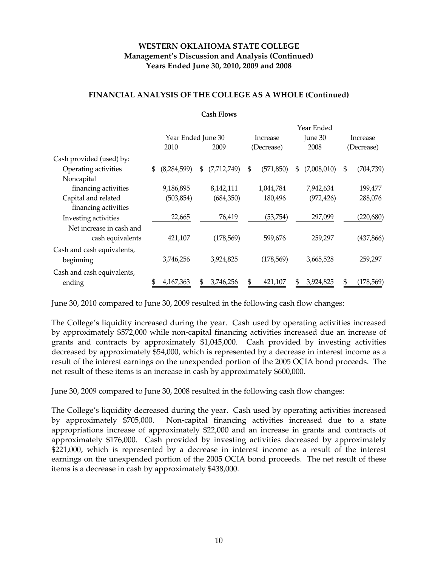# **FINANCIAL ANALYSIS OF THE COLLEGE AS A WHOLE (Continued)**

#### **Cash Flows**

|                            |                    |             |    |             |            |            |         | Year Ended  |            |            |
|----------------------------|--------------------|-------------|----|-------------|------------|------------|---------|-------------|------------|------------|
|                            | Year Ended June 30 |             |    | Increase    |            |            | June 30 |             | Increase   |            |
|                            |                    | 2010        |    | 2009        | (Decrease) |            | 2008    |             | (Decrease) |            |
| Cash provided (used) by:   |                    |             |    |             |            |            |         |             |            |            |
| Operating activities       | \$                 | (8,284,599) | \$ | (7,712,749) | \$         | (571, 850) | \$      | (7,008,010) | \$         | (704, 739) |
| Noncapital                 |                    |             |    |             |            |            |         |             |            |            |
| financing activities       |                    | 9,186,895   |    | 8,142,111   |            | 1,044,784  |         | 7,942,634   |            | 199,477    |
| Capital and related        |                    | (503, 854)  |    | (684, 350)  |            | 180,496    |         | (972, 426)  |            | 288,076    |
| financing activities       |                    |             |    |             |            |            |         |             |            |            |
| Investing activities       |                    | 22,665      |    | 76,419      |            | (53, 754)  |         | 297,099     |            | (220, 680) |
| Net increase in cash and   |                    |             |    |             |            |            |         |             |            |            |
| cash equivalents           |                    | 421,107     |    | (178, 569)  |            | 599,676    |         | 259,297     |            | (437, 866) |
| Cash and cash equivalents, |                    |             |    |             |            |            |         |             |            |            |
| beginning                  |                    | 3,746,256   |    | 3,924,825   |            | (178, 569) |         | 3,665,528   |            | 259,297    |
| Cash and cash equivalents, |                    |             |    |             |            |            |         |             |            |            |
| ending                     | S                  | 4,167,363   | S  | 3,746,256   | \$         | 421,107    | S       | 3,924,825   | \$         | (178, 569) |

June 30, 2010 compared to June 30, 2009 resulted in the following cash flow changes:

The College's liquidity increased during the year. Cash used by operating activities increased by approximately \$572,000 while non-capital financing activities increased due an increase of grants and contracts by approximately \$1,045,000. Cash provided by investing activities decreased by approximately \$54,000, which is represented by a decrease in interest income as a result of the interest earnings on the unexpended portion of the 2005 OCIA bond proceeds. The net result of these items is an increase in cash by approximately \$600,000.

June 30, 2009 compared to June 30, 2008 resulted in the following cash flow changes:

The College's liquidity decreased during the year. Cash used by operating activities increased by approximately \$705,000. Non-capital financing activities increased due to a state appropriations increase of approximately \$22,000 and an increase in grants and contracts of approximately \$176,000. Cash provided by investing activities decreased by approximately \$221,000, which is represented by a decrease in interest income as a result of the interest earnings on the unexpended portion of the 2005 OCIA bond proceeds. The net result of these items is a decrease in cash by approximately \$438,000.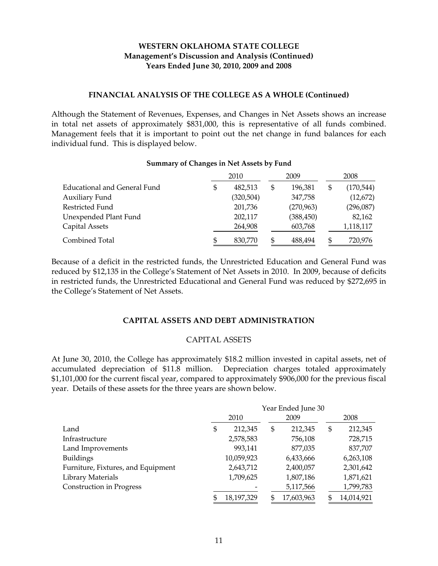#### **FINANCIAL ANALYSIS OF THE COLLEGE AS A WHOLE (Continued)**

Although the Statement of Revenues, Expenses, and Changes in Net Assets shows an increase in total net assets of approximately \$831,000, this is representative of all funds combined. Management feels that it is important to point out the net change in fund balances for each individual fund. This is displayed below.

#### **Summary of Changes in Net Assets by Fund**

|                                     |   | 2010       | 2009          | 2008 |            |
|-------------------------------------|---|------------|---------------|------|------------|
| <b>Educational and General Fund</b> |   | 482.513    | \$<br>196.381 | \$   | (170, 544) |
| Auxiliary Fund                      |   | (320, 504) | 347,758       |      | (12,672)   |
| Restricted Fund                     |   | 201,736    | (270,963)     |      | (296,087)  |
| Unexpended Plant Fund               |   | 202,117    | (388, 450)    |      | 82,162     |
| Capital Assets                      |   | 264,908    | 603,768       |      | 1,118,117  |
| Combined Total                      | S | 830,770    | \$<br>488,494 | \$   | 720,976    |

Because of a deficit in the restricted funds, the Unrestricted Education and General Fund was reduced by \$12,135 in the College's Statement of Net Assets in 2010. In 2009, because of deficits in restricted funds, the Unrestricted Educational and General Fund was reduced by \$272,695 in the College's Statement of Net Assets.

#### **CAPITAL ASSETS AND DEBT ADMINISTRATION**

#### CAPITAL ASSETS

At June 30, 2010, the College has approximately \$18.2 million invested in capital assets, net of accumulated depreciation of \$11.8 million. Depreciation charges totaled approximately \$1,101,000 for the current fiscal year, compared to approximately \$906,000 for the previous fiscal year. Details of these assets for the three years are shown below.

|                                    | Year Ended June 30 |            |    |            |    |            |
|------------------------------------|--------------------|------------|----|------------|----|------------|
|                                    | 2010               |            |    | 2009       |    | 2008       |
| Land                               |                    | 212,345    | \$ | 212,345    | \$ | 212,345    |
| Infrastructure                     |                    | 2,578,583  |    | 756,108    |    | 728,715    |
| Land Improvements                  |                    | 993,141    |    | 877,035    |    | 837,707    |
| <b>Buildings</b>                   |                    | 10,059,923 |    | 6,433,666  |    | 6,263,108  |
| Furniture, Fixtures, and Equipment |                    | 2,643,712  |    | 2,400,057  |    | 2,301,642  |
| Library Materials                  |                    | 1,709,625  |    | 1,807,186  |    | 1,871,621  |
| Construction in Progress           |                    |            |    | 5,117,566  |    | 1,799,783  |
|                                    |                    | 18,197,329 | \$ | 17,603,963 |    | 14,014,921 |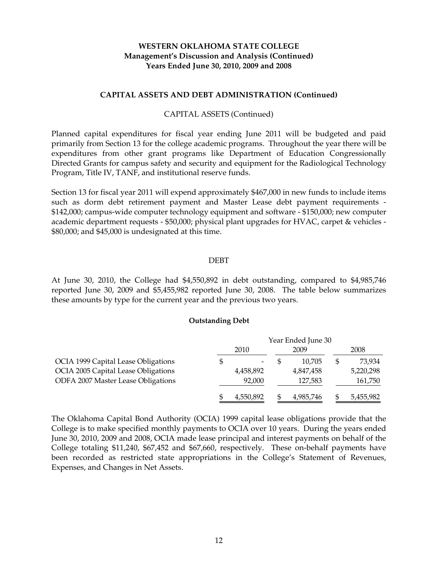#### **CAPITAL ASSETS AND DEBT ADMINISTRATION (Continued)**

#### CAPITAL ASSETS (Continued)

Planned capital expenditures for fiscal year ending June 2011 will be budgeted and paid primarily from Section 13 for the college academic programs. Throughout the year there will be expenditures from other grant programs like Department of Education Congressionally Directed Grants for campus safety and security and equipment for the Radiological Technology Program, Title IV, TANF, and institutional reserve funds.

Section 13 for fiscal year 2011 will expend approximately \$467,000 in new funds to include items such as dorm debt retirement payment and Master Lease debt payment requirements - \$142,000; campus-wide computer technology equipment and software - \$150,000; new computer academic department requests - \$50,000; physical plant upgrades for HVAC, carpet & vehicles - \$80,000; and \$45,000 is undesignated at this time.

#### DEBT

At June 30, 2010, the College had \$4,550,892 in debt outstanding, compared to \$4,985,746 reported June 30, 2009 and \$5,455,982 reported June 30, 2008. The table below summarizes these amounts by type for the current year and the previous two years.

#### **Outstanding Debt**

|                                     | Year Ended June 30 |                          |  |           |   |           |
|-------------------------------------|--------------------|--------------------------|--|-----------|---|-----------|
|                                     |                    | 2010                     |  | 2009      |   | 2008      |
| OCIA 1999 Capital Lease Obligations | \$                 | $\overline{\phantom{a}}$ |  | 10.705    | S | 73.934    |
| OCIA 2005 Capital Lease Obligations |                    | 4,458,892                |  | 4,847,458 |   | 5,220,298 |
| ODFA 2007 Master Lease Obligations  |                    | 92,000                   |  | 127,583   |   | 161,750   |
|                                     |                    | 4,550,892                |  | 4,985,746 |   | 5,455,982 |

The Oklahoma Capital Bond Authority (OCIA) 1999 capital lease obligations provide that the College is to make specified monthly payments to OCIA over 10 years. During the years ended June 30, 2010, 2009 and 2008, OCIA made lease principal and interest payments on behalf of the College totaling \$11,240, \$67,452 and \$67,660, respectively. These on-behalf payments have been recorded as restricted state appropriations in the College's Statement of Revenues, Expenses, and Changes in Net Assets.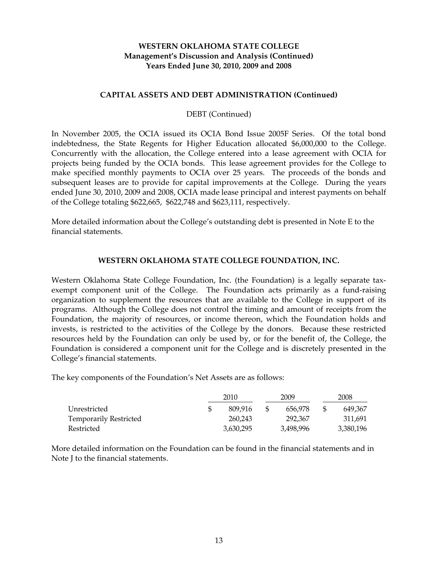### **CAPITAL ASSETS AND DEBT ADMINISTRATION (Continued)**

#### DEBT (Continued)

In November 2005, the OCIA issued its OCIA Bond Issue 2005F Series. Of the total bond indebtedness, the State Regents for Higher Education allocated \$6,000,000 to the College. Concurrently with the allocation, the College entered into a lease agreement with OCIA for projects being funded by the OCIA bonds. This lease agreement provides for the College to make specified monthly payments to OCIA over 25 years. The proceeds of the bonds and subsequent leases are to provide for capital improvements at the College. During the years ended June 30, 2010, 2009 and 2008, OCIA made lease principal and interest payments on behalf of the College totaling \$622,665, \$622,748 and \$623,111, respectively.

More detailed information about the College's outstanding debt is presented in Note E to the financial statements.

#### **WESTERN OKLAHOMA STATE COLLEGE FOUNDATION, INC.**

Western Oklahoma State College Foundation, Inc. (the Foundation) is a legally separate taxexempt component unit of the College. The Foundation acts primarily as a fund-raising organization to supplement the resources that are available to the College in support of its programs. Although the College does not control the timing and amount of receipts from the Foundation, the majority of resources, or income thereon, which the Foundation holds and invests, is restricted to the activities of the College by the donors. Because these restricted resources held by the Foundation can only be used by, or for the benefit of, the College, the Foundation is considered a component unit for the College and is discretely presented in the College's financial statements.

The key components of the Foundation's Net Assets are as follows:

|                               | 2010      | 2009      | 2008 |           |  |
|-------------------------------|-----------|-----------|------|-----------|--|
| Unrestricted                  | 809.916   | 656.978   |      | 649.367   |  |
| <b>Temporarily Restricted</b> | 260.243   | 292.367   |      | 311.691   |  |
| Restricted                    | 3,630,295 | 3,498,996 |      | 3,380,196 |  |

More detailed information on the Foundation can be found in the financial statements and in Note I to the financial statements.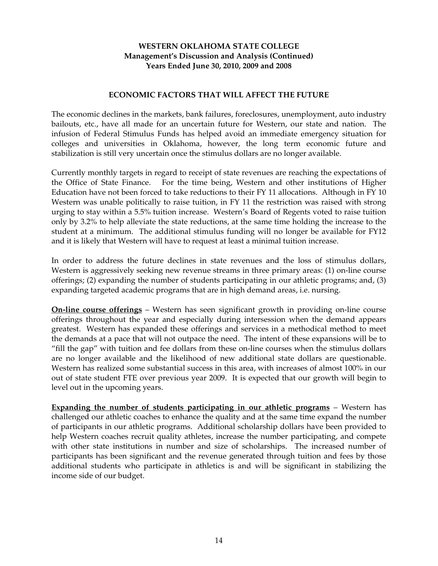# **ECONOMIC FACTORS THAT WILL AFFECT THE FUTURE**

The economic declines in the markets, bank failures, foreclosures, unemployment, auto industry bailouts, etc., have all made for an uncertain future for Western, our state and nation. The infusion of Federal Stimulus Funds has helped avoid an immediate emergency situation for colleges and universities in Oklahoma, however, the long term economic future and stabilization is still very uncertain once the stimulus dollars are no longer available.

Currently monthly targets in regard to receipt of state revenues are reaching the expectations of the Office of State Finance. For the time being, Western and other institutions of Higher Education have not been forced to take reductions to their FY 11 allocations. Although in FY 10 Western was unable politically to raise tuition, in FY 11 the restriction was raised with strong urging to stay within a 5.5% tuition increase. Western's Board of Regents voted to raise tuition only by 3.2% to help alleviate the state reductions, at the same time holding the increase to the student at a minimum. The additional stimulus funding will no longer be available for FY12 and it is likely that Western will have to request at least a minimal tuition increase.

In order to address the future declines in state revenues and the loss of stimulus dollars, Western is aggressively seeking new revenue streams in three primary areas: (1) on-line course offerings; (2) expanding the number of students participating in our athletic programs; and, (3) expanding targeted academic programs that are in high demand areas, i.e. nursing.

**On-line course offerings** – Western has seen significant growth in providing on-line course offerings throughout the year and especially during intersession when the demand appears greatest. Western has expanded these offerings and services in a methodical method to meet the demands at a pace that will not outpace the need. The intent of these expansions will be to "fill the gap" with tuition and fee dollars from these on-line courses when the stimulus dollars are no longer available and the likelihood of new additional state dollars are questionable. Western has realized some substantial success in this area, with increases of almost 100% in our out of state student FTE over previous year 2009. It is expected that our growth will begin to level out in the upcoming years.

**Expanding the number of students participating in our athletic programs** – Western has challenged our athletic coaches to enhance the quality and at the same time expand the number of participants in our athletic programs. Additional scholarship dollars have been provided to help Western coaches recruit quality athletes, increase the number participating, and compete with other state institutions in number and size of scholarships. The increased number of participants has been significant and the revenue generated through tuition and fees by those additional students who participate in athletics is and will be significant in stabilizing the income side of our budget.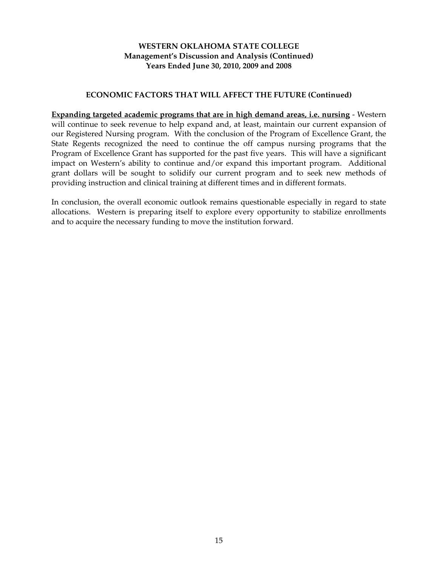# **ECONOMIC FACTORS THAT WILL AFFECT THE FUTURE (Continued)**

**Expanding targeted academic programs that are in high demand areas, i.e. nursing** - Western will continue to seek revenue to help expand and, at least, maintain our current expansion of our Registered Nursing program. With the conclusion of the Program of Excellence Grant, the State Regents recognized the need to continue the off campus nursing programs that the Program of Excellence Grant has supported for the past five years. This will have a significant impact on Western's ability to continue and/or expand this important program. Additional grant dollars will be sought to solidify our current program and to seek new methods of providing instruction and clinical training at different times and in different formats.

In conclusion, the overall economic outlook remains questionable especially in regard to state allocations. Western is preparing itself to explore every opportunity to stabilize enrollments and to acquire the necessary funding to move the institution forward.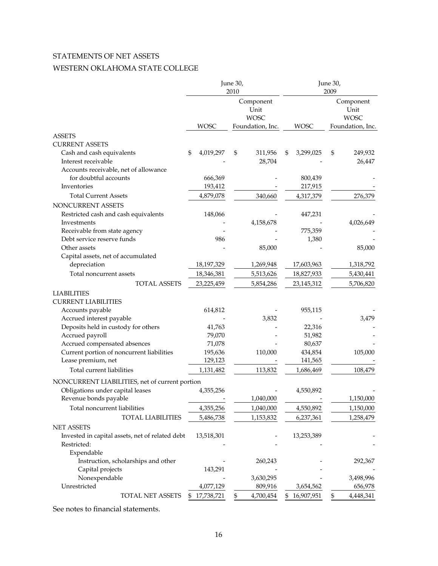# STATEMENTS OF NET ASSETS

# WESTERN OKLAHOMA STATE COLLEGE

|                                                 | June 30,<br>2010 |                                  | June 30,<br>2009 |                                  |  |
|-------------------------------------------------|------------------|----------------------------------|------------------|----------------------------------|--|
|                                                 |                  | Component<br>Unit<br><b>WOSC</b> |                  | Component<br>Unit<br><b>WOSC</b> |  |
|                                                 | <b>WOSC</b>      | Foundation, Inc.                 | <b>WOSC</b>      | Foundation, Inc.                 |  |
| <b>ASSETS</b>                                   |                  |                                  |                  |                                  |  |
| <b>CURRENT ASSETS</b>                           |                  |                                  |                  |                                  |  |
| Cash and cash equivalents                       | 4,019,297<br>\$  | \$<br>311,956                    | 3,299,025<br>\$  | \$<br>249,932                    |  |
| Interest receivable                             |                  | 28,704                           |                  | 26,447                           |  |
| Accounts receivable, net of allowance           |                  |                                  |                  |                                  |  |
| for doubtful accounts                           | 666,369          |                                  | 800,439          |                                  |  |
| Inventories                                     | 193,412          |                                  | 217,915          |                                  |  |
| <b>Total Current Assets</b>                     | 4,879,078        | 340,660                          | 4,317,379        | 276,379                          |  |
| NONCURRENT ASSETS                               |                  |                                  |                  |                                  |  |
| Restricted cash and cash equivalents            | 148,066          |                                  | 447,231          |                                  |  |
| Investments                                     |                  | 4,158,678                        |                  | 4,026,649                        |  |
| Receivable from state agency                    |                  |                                  | 775,359          |                                  |  |
| Debt service reserve funds                      | 986              |                                  | 1,380            |                                  |  |
| Other assets                                    |                  | 85,000                           |                  | 85,000                           |  |
| Capital assets, net of accumulated              |                  |                                  |                  |                                  |  |
| depreciation                                    | 18,197,329       | 1,269,948                        | 17,603,963       | 1,318,792                        |  |
| Total noncurrent assets                         | 18,346,381       | 5,513,626                        | 18,827,933       | 5,430,441                        |  |
| <b>TOTAL ASSETS</b>                             | 23,225,459       | 5,854,286                        | 23, 145, 312     | 5,706,820                        |  |
| <b>LIABILITIES</b>                              |                  |                                  |                  |                                  |  |
| <b>CURRENT LIABILITIES</b>                      |                  |                                  |                  |                                  |  |
| Accounts payable                                | 614,812          |                                  | 955,115          |                                  |  |
| Accrued interest payable                        |                  | 3,832                            |                  | 3,479                            |  |
| Deposits held in custody for others             | 41,763           |                                  | 22,316           |                                  |  |
| Accrued payroll                                 | 79,070           |                                  | 51,982           |                                  |  |
| Accrued compensated absences                    | 71,078           |                                  | 80,637           |                                  |  |
| Current portion of noncurrent liabilities       | 195,636          | 110,000                          | 434,854          | 105,000                          |  |
| Lease premium, net                              | 129,123          |                                  | 141,565          |                                  |  |
| Total current liabilities                       | 1,131,482        | 113,832                          | 1,686,469        | 108,479                          |  |
| NONCURRENT LIABILITIES, net of current portion  |                  |                                  |                  |                                  |  |
| Obligations under capital leases                | 4,355,256        |                                  | 4,550,892        |                                  |  |
| Revenue bonds payable                           |                  | 1,040,000                        |                  | 1,150,000                        |  |
| Total noncurrent liabilities                    | 4,355,256        | 1,040,000                        | 4,550,892        | 1,150,000                        |  |
| <b>TOTAL LIABILITIES</b>                        | 5,486,738        | 1,153,832                        | 6,237,361        | 1,258,479                        |  |
| <b>NET ASSETS</b>                               |                  |                                  |                  |                                  |  |
| Invested in capital assets, net of related debt | 13,518,301       |                                  | 13,253,389       |                                  |  |
| Restricted:                                     |                  |                                  |                  |                                  |  |
| Expendable                                      |                  |                                  |                  |                                  |  |
| Instruction, scholarships and other             |                  | 260,243                          |                  | 292,367                          |  |
| Capital projects                                | 143,291          |                                  |                  |                                  |  |
| Nonexpendable                                   |                  | 3,630,295                        |                  | 3,498,996                        |  |
| Unrestricted                                    | 4,077,129        | 809,916                          | 3,654,562        | 656,978                          |  |
| TOTAL NET ASSETS                                | 17,738,721<br>\$ | 4,700,454<br>\$                  | 16,907,951<br>\$ | 4,448,341<br>\$                  |  |

See notes to financial statements.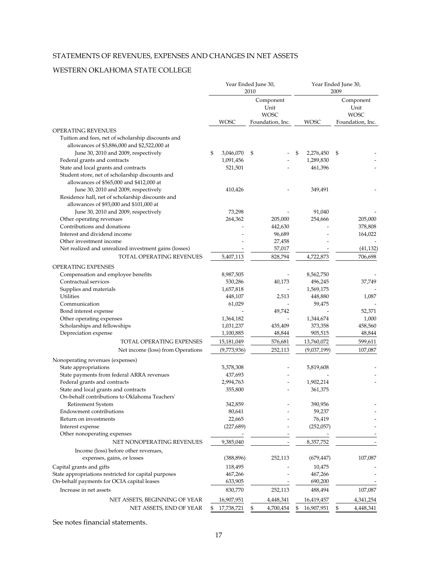### STATEMENTS OF REVENUES, EXPENSES AND CHANGES IN NET ASSETS

#### WESTERN OKLAHOMA STATE COLLEGE

|                                                                                             |                        | Year Ended June 30,<br>2010      |                    | Year Ended June 30,<br>2009      |  |
|---------------------------------------------------------------------------------------------|------------------------|----------------------------------|--------------------|----------------------------------|--|
|                                                                                             |                        | Component<br>Unit<br><b>WOSC</b> |                    | Component<br>Unit<br><b>WOSC</b> |  |
|                                                                                             | <b>WOSC</b>            | Foundation, Inc.                 | <b>WOSC</b>        | Foundation, Inc.                 |  |
| OPERATING REVENUES                                                                          |                        |                                  |                    |                                  |  |
| Tuition and fees, net of scholarship discounts and                                          |                        |                                  |                    |                                  |  |
| allowances of \$3,886,000 and \$2,522,000 at                                                |                        |                                  |                    |                                  |  |
| June 30, 2010 and 2009, respectively                                                        | \$<br>3,046,070        | \$                               | \$<br>2,276,450    | \$                               |  |
| Federal grants and contracts                                                                | 1,091,456              |                                  | 1,289,830          |                                  |  |
| State and local grants and contracts                                                        | 521,501                |                                  | 461,396            |                                  |  |
| Student store, net of scholarship discounts and<br>allowances of \$565,000 and \$412,000 at |                        |                                  |                    |                                  |  |
| June 30, 2010 and 2009, respectively                                                        | 410,426                |                                  | 349,491            |                                  |  |
| Residence hall, net of scholarship discounts and                                            |                        |                                  |                    |                                  |  |
| allowances of \$93,000 and \$101,000 at                                                     |                        |                                  |                    |                                  |  |
| June 30, 2010 and 2009, respectively                                                        | 73,298                 |                                  | 91,040             |                                  |  |
| Other operating revenues                                                                    | 264,362                | 205,000                          | 254,666            | 205,000                          |  |
| Contributions and donations                                                                 |                        | 442,630                          |                    | 378,808                          |  |
| Interest and dividend income                                                                |                        | 96,689                           |                    | 164,022                          |  |
| Other investment income                                                                     |                        | 27,458                           |                    |                                  |  |
| Net realized and unrealized investment gains (losses)                                       |                        | 57,017                           |                    | (41, 132)                        |  |
| <b>TOTAL OPERATING REVENUES</b>                                                             | 5,407,113              | 828,794                          | 4,722,873          | 706,698                          |  |
|                                                                                             |                        |                                  |                    |                                  |  |
| OPERATING EXPENSES                                                                          |                        |                                  |                    |                                  |  |
| Compensation and employee benefits                                                          | 8,987,505              |                                  | 8,562,750          |                                  |  |
| Contractual services                                                                        | 530,286                | 40,173                           | 496,245            | 37,749                           |  |
| Supplies and materials                                                                      | 1,657,818              |                                  | 1,569,175          |                                  |  |
| Utilities                                                                                   | 448,107                | 2,513                            | 448,880            | 1,087                            |  |
| Communication                                                                               | 61,029                 |                                  | 59,475             |                                  |  |
| Bond interest expense                                                                       |                        | 49,742                           |                    | 52,371                           |  |
| Other operating expenses                                                                    | 1,364,182              |                                  | 1,344,674          | 1,000                            |  |
| Scholarships and fellowships<br>Depreciation expense                                        | 1,031,237<br>1,100,885 | 435,409<br>48,844                | 373,358<br>905,515 | 458,560<br>48,844                |  |
|                                                                                             |                        |                                  |                    |                                  |  |
| TOTAL OPERATING EXPENSES                                                                    | 15,181,049             | 576,681                          | 13,760,072         | 599,611                          |  |
| Net income (loss) from Operations                                                           | (9,773,936)            | 252,113                          | (9,037,199)        | 107,087                          |  |
| Nonoperating revenues (expenses)                                                            |                        |                                  |                    |                                  |  |
| State appropriations                                                                        | 5,378,308              |                                  | 5,819,608          |                                  |  |
| State payments from federal ARRA revenues                                                   | 437,693                |                                  |                    |                                  |  |
| Federal grants and contracts                                                                | 2,994,763              |                                  | 1,902,214          |                                  |  |
| State and local grants and contracts                                                        | 355,800                |                                  | 361,375            |                                  |  |
| On-behalf contributions to Oklahoma Teachers'                                               |                        |                                  |                    |                                  |  |
| Retirement System                                                                           | 342,859                |                                  | 390,956            |                                  |  |
| Endowment contributions                                                                     | 80,641                 |                                  | 59,237             |                                  |  |
| Return on investments                                                                       | 22,665                 |                                  | 76,419             |                                  |  |
| Interest expense                                                                            | (227, 689)             |                                  | (252,057)          |                                  |  |
| Other nonoperating expenses                                                                 |                        |                                  |                    |                                  |  |
| NET NONOPERATING REVENUES                                                                   | 9,385,040              |                                  | 8,357,752          |                                  |  |
| Income (loss) before other revenues,                                                        |                        |                                  |                    |                                  |  |
| expenses, gains, or losses                                                                  | (388, 896)             | 252,113                          | (679, 447)         | 107,087                          |  |
| Capital grants and gifts                                                                    | 118,495                |                                  | 10,475             |                                  |  |
| State appropriations restricted for capital purposes                                        | 467,266                |                                  | 467,266            |                                  |  |
| On-behalf payments for OCIA capital leases                                                  | 633,905                |                                  | 690,200            |                                  |  |
| Increase in net assets                                                                      | 830,770                | 252,113                          | 488,494            | 107,087                          |  |
| NET ASSETS, BEGINNING OF YEAR                                                               | 16,907,951             | 4,448,341                        | 16,419,457         | 4,341,254                        |  |
| NET ASSETS, END OF YEAR                                                                     | \$<br>17,738,721       | 4,700,454<br>\$                  | 16,907,951<br>\$   | \$<br>4,448,341                  |  |

See notes financial statements.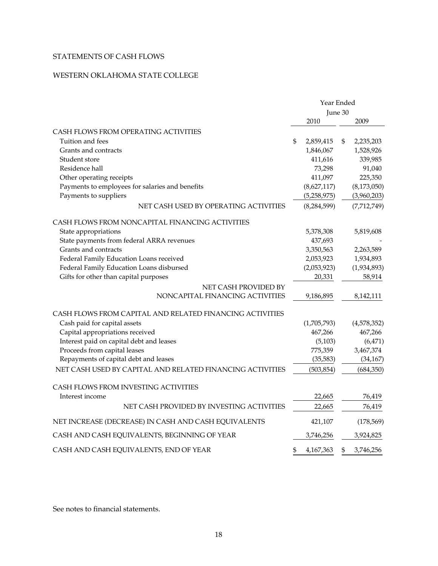# STATEMENTS OF CASH FLOWS

# WESTERN OKLAHOMA STATE COLLEGE

|                                                           | Year Ended<br>June 30 |                 |
|-----------------------------------------------------------|-----------------------|-----------------|
|                                                           | 2010                  | 2009            |
| CASH FLOWS FROM OPERATING ACTIVITIES                      |                       |                 |
| Tuition and fees                                          | \$<br>2,859,415       | \$<br>2,235,203 |
| Grants and contracts                                      | 1,846,067             | 1,528,926       |
| Student store                                             | 411,616               | 339,985         |
| Residence hall                                            | 73,298                | 91,040          |
| Other operating receipts                                  | 411,097               | 225,350         |
| Payments to employees for salaries and benefits           | (8,627,117)           | (8, 173, 050)   |
| Payments to suppliers                                     | (5,258,975)           | (3,960,203)     |
| NET CASH USED BY OPERATING ACTIVITIES                     | (8, 284, 599)         | (7,712,749)     |
| CASH FLOWS FROM NONCAPITAL FINANCING ACTIVITIES           |                       |                 |
| State appropriations                                      | 5,378,308             | 5,819,608       |
| State payments from federal ARRA revenues                 | 437,693               |                 |
| Grants and contracts                                      | 3,350,563             | 2,263,589       |
| Federal Family Education Loans received                   | 2,053,923             | 1,934,893       |
| Federal Family Education Loans disbursed                  | (2,053,923)           | (1,934,893)     |
| Gifts for other than capital purposes                     | 20,331                | 58,914          |
| NET CASH PROVIDED BY                                      |                       |                 |
| NONCAPITAL FINANCING ACTIVITIES                           | 9,186,895             | 8,142,111       |
| CASH FLOWS FROM CAPITAL AND RELATED FINANCING ACTIVITIES  |                       |                 |
| Cash paid for capital assets                              | (1,705,793)           | (4,578,352)     |
| Capital appropriations received                           | 467,266               | 467,266         |
| Interest paid on capital debt and leases                  | (5, 103)              | (6, 471)        |
| Proceeds from capital leases                              | 775,359               | 3,467,374       |
| Repayments of capital debt and leases                     | (35, 583)             | (34, 167)       |
| NET CASH USED BY CAPITAL AND RELATED FINANCING ACTIVITIES | (503, 854)            | (684, 350)      |
| CASH FLOWS FROM INVESTING ACTIVITIES                      |                       |                 |
| Interest income                                           | 22,665                | 76,419          |
| NET CASH PROVIDED BY INVESTING ACTIVITIES                 | 22,665                | 76,419          |
| NET INCREASE (DECREASE) IN CASH AND CASH EQUIVALENTS      | 421,107               | (178, 569)      |
| CASH AND CASH EQUIVALENTS, BEGINNING OF YEAR              | 3,746,256             | 3,924,825       |
| CASH AND CASH EQUIVALENTS, END OF YEAR                    | \$<br>4,167,363       | \$<br>3,746,256 |

See notes to financial statements.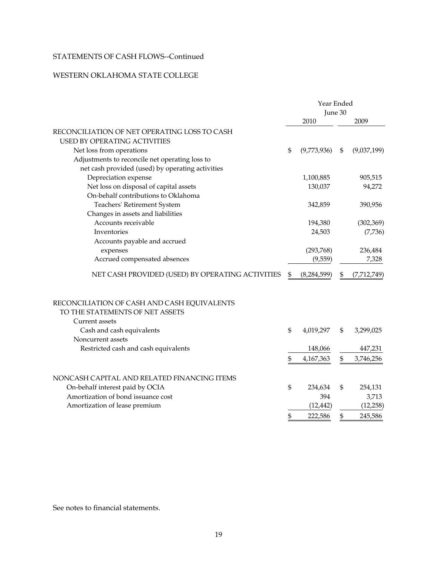# STATEMENTS OF CASH FLOWS--Continued

# WESTERN OKLAHOMA STATE COLLEGE

|                                                                                     | Year Ended<br>June 30 |    |               |  |
|-------------------------------------------------------------------------------------|-----------------------|----|---------------|--|
|                                                                                     | 2010                  |    | 2009          |  |
| RECONCILIATION OF NET OPERATING LOSS TO CASH<br><b>USED BY OPERATING ACTIVITIES</b> |                       |    |               |  |
| Net loss from operations                                                            | \$<br>(9,773,936)     | \$ | (9,037,199)   |  |
| Adjustments to reconcile net operating loss to                                      |                       |    |               |  |
| net cash provided (used) by operating activities                                    |                       |    |               |  |
| Depreciation expense                                                                | 1,100,885             |    | 905,515       |  |
| Net loss on disposal of capital assets                                              | 130,037               |    | 94,272        |  |
| On-behalf contributions to Oklahoma                                                 |                       |    |               |  |
| Teachers' Retirement System                                                         | 342,859               |    | 390,956       |  |
| Changes in assets and liabilities                                                   |                       |    |               |  |
| Accounts receivable                                                                 | 194,380               |    | (302, 369)    |  |
| Inventories                                                                         | 24,503                |    | (7,736)       |  |
| Accounts payable and accrued                                                        |                       |    |               |  |
| expenses                                                                            | (293,768)             |    | 236,484       |  |
| Accrued compensated absences                                                        | (9,559)               |    | 7,328         |  |
| NET CASH PROVIDED (USED) BY OPERATING ACTIVITIES                                    | \$<br>(8,284,599)     | \$ | (7, 712, 749) |  |
| RECONCILIATION OF CASH AND CASH EQUIVALENTS                                         |                       |    |               |  |
| TO THE STATEMENTS OF NET ASSETS                                                     |                       |    |               |  |
| Current assets                                                                      |                       |    |               |  |
| Cash and cash equivalents                                                           | \$<br>4,019,297       | \$ | 3,299,025     |  |
| Noncurrent assets                                                                   |                       |    |               |  |
| Restricted cash and cash equivalents                                                | 148,066               |    | 447,231       |  |
|                                                                                     | \$<br>4,167,363       | \$ | 3,746,256     |  |
| NONCASH CAPITAL AND RELATED FINANCING ITEMS                                         |                       |    |               |  |
| On-behalf interest paid by OCIA                                                     | \$<br>234,634         | \$ | 254,131       |  |
| Amortization of bond issuance cost                                                  | 394                   |    | 3,713         |  |
| Amortization of lease premium                                                       | (12, 442)             |    | (12, 258)     |  |
|                                                                                     | \$<br>222,586         | \$ | 245,586       |  |

See notes to financial statements.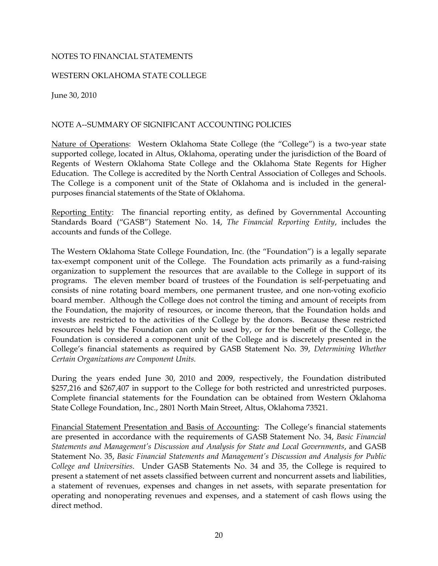# NOTES TO FINANCIAL STATEMENTS

# WESTERN OKLAHOMA STATE COLLEGE

June 30, 2010

# NOTE A--SUMMARY OF SIGNIFICANT ACCOUNTING POLICIES

Nature of Operations: Western Oklahoma State College (the "College") is a two-year state supported college, located in Altus, Oklahoma, operating under the jurisdiction of the Board of Regents of Western Oklahoma State College and the Oklahoma State Regents for Higher Education. The College is accredited by the North Central Association of Colleges and Schools. The College is a component unit of the State of Oklahoma and is included in the generalpurposes financial statements of the State of Oklahoma.

Reporting Entity: The financial reporting entity, as defined by Governmental Accounting Standards Board ("GASB") Statement No. 14, *The Financial Reporting Entity*, includes the accounts and funds of the College.

The Western Oklahoma State College Foundation, Inc. (the "Foundation") is a legally separate tax-exempt component unit of the College. The Foundation acts primarily as a fund-raising organization to supplement the resources that are available to the College in support of its programs. The eleven member board of trustees of the Foundation is self-perpetuating and consists of nine rotating board members, one permanent trustee, and one non-voting exoficio board member. Although the College does not control the timing and amount of receipts from the Foundation, the majority of resources, or income thereon, that the Foundation holds and invests are restricted to the activities of the College by the donors. Because these restricted resources held by the Foundation can only be used by, or for the benefit of the College, the Foundation is considered a component unit of the College and is discretely presented in the College's financial statements as required by GASB Statement No. 39, *Determining Whether Certain Organizations are Component Units.* 

During the years ended June 30, 2010 and 2009, respectively, the Foundation distributed \$257,216 and \$267,407 in support to the College for both restricted and unrestricted purposes. Complete financial statements for the Foundation can be obtained from Western Oklahoma State College Foundation, Inc., 2801 North Main Street, Altus, Oklahoma 73521.

Financial Statement Presentation and Basis of Accounting: The College's financial statements are presented in accordance with the requirements of GASB Statement No. 34, *Basic Financial Statements and Management's Discussion and Analysis for State and Local Governments*, and GASB Statement No. 35, *Basic Financial Statements and Management's Discussion and Analysis for Public College and Universities*. Under GASB Statements No. 34 and 35, the College is required to present a statement of net assets classified between current and noncurrent assets and liabilities, a statement of revenues, expenses and changes in net assets, with separate presentation for operating and nonoperating revenues and expenses, and a statement of cash flows using the direct method.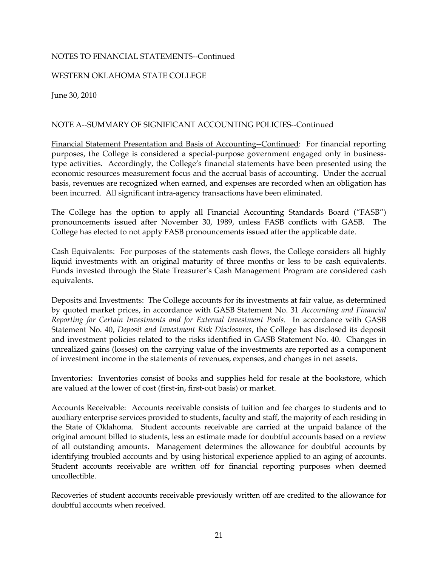# WESTERN OKLAHOMA STATE COLLEGE

June 30, 2010

# NOTE A--SUMMARY OF SIGNIFICANT ACCOUNTING POLICIES--Continued

Financial Statement Presentation and Basis of Accounting--Continued: For financial reporting purposes, the College is considered a special-purpose government engaged only in businesstype activities. Accordingly, the College's financial statements have been presented using the economic resources measurement focus and the accrual basis of accounting. Under the accrual basis, revenues are recognized when earned, and expenses are recorded when an obligation has been incurred. All significant intra-agency transactions have been eliminated.

The College has the option to apply all Financial Accounting Standards Board ("FASB") pronouncements issued after November 30, 1989, unless FASB conflicts with GASB. The College has elected to not apply FASB pronouncements issued after the applicable date.

Cash Equivalents: For purposes of the statements cash flows, the College considers all highly liquid investments with an original maturity of three months or less to be cash equivalents. Funds invested through the State Treasurer's Cash Management Program are considered cash equivalents.

Deposits and Investments: The College accounts for its investments at fair value, as determined by quoted market prices, in accordance with GASB Statement No. 31 *Accounting and Financial Reporting for Certain Investments and for External Investment Pools*. In accordance with GASB Statement No. 40, *Deposit and Investment Risk Disclosures*, the College has disclosed its deposit and investment policies related to the risks identified in GASB Statement No. 40. Changes in unrealized gains (losses) on the carrying value of the investments are reported as a component of investment income in the statements of revenues, expenses, and changes in net assets.

Inventories: Inventories consist of books and supplies held for resale at the bookstore, which are valued at the lower of cost (first-in, first-out basis) or market.

Accounts Receivable: Accounts receivable consists of tuition and fee charges to students and to auxiliary enterprise services provided to students, faculty and staff, the majority of each residing in the State of Oklahoma. Student accounts receivable are carried at the unpaid balance of the original amount billed to students, less an estimate made for doubtful accounts based on a review of all outstanding amounts. Management determines the allowance for doubtful accounts by identifying troubled accounts and by using historical experience applied to an aging of accounts. Student accounts receivable are written off for financial reporting purposes when deemed uncollectible.

Recoveries of student accounts receivable previously written off are credited to the allowance for doubtful accounts when received.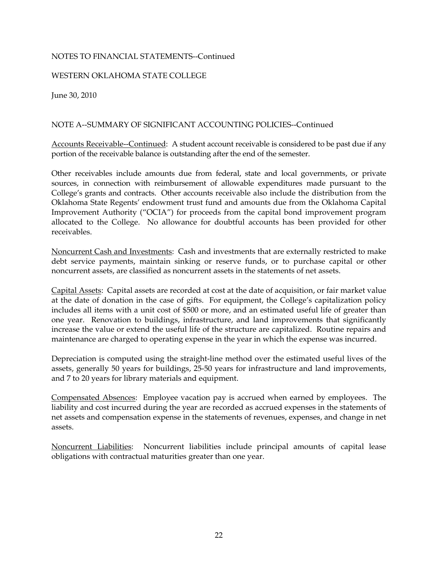# WESTERN OKLAHOMA STATE COLLEGE

June 30, 2010

# NOTE A--SUMMARY OF SIGNIFICANT ACCOUNTING POLICIES--Continued

Accounts Receivable--Continued: A student account receivable is considered to be past due if any portion of the receivable balance is outstanding after the end of the semester.

Other receivables include amounts due from federal, state and local governments, or private sources, in connection with reimbursement of allowable expenditures made pursuant to the College's grants and contracts. Other accounts receivable also include the distribution from the Oklahoma State Regents' endowment trust fund and amounts due from the Oklahoma Capital Improvement Authority ("OCIA") for proceeds from the capital bond improvement program allocated to the College. No allowance for doubtful accounts has been provided for other receivables.

Noncurrent Cash and Investments: Cash and investments that are externally restricted to make debt service payments, maintain sinking or reserve funds, or to purchase capital or other noncurrent assets, are classified as noncurrent assets in the statements of net assets.

Capital Assets: Capital assets are recorded at cost at the date of acquisition, or fair market value at the date of donation in the case of gifts. For equipment, the College's capitalization policy includes all items with a unit cost of \$500 or more, and an estimated useful life of greater than one year. Renovation to buildings, infrastructure, and land improvements that significantly increase the value or extend the useful life of the structure are capitalized. Routine repairs and maintenance are charged to operating expense in the year in which the expense was incurred.

Depreciation is computed using the straight-line method over the estimated useful lives of the assets, generally 50 years for buildings, 25-50 years for infrastructure and land improvements, and 7 to 20 years for library materials and equipment.

Compensated Absences: Employee vacation pay is accrued when earned by employees. The liability and cost incurred during the year are recorded as accrued expenses in the statements of net assets and compensation expense in the statements of revenues, expenses, and change in net assets.

Noncurrent Liabilities: Noncurrent liabilities include principal amounts of capital lease obligations with contractual maturities greater than one year.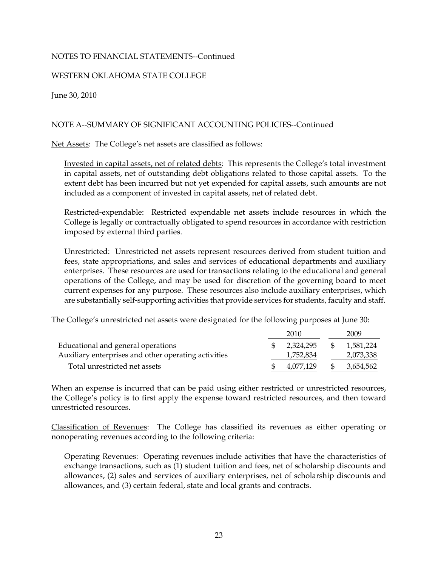# WESTERN OKLAHOMA STATE COLLEGE

June 30, 2010

# NOTE A--SUMMARY OF SIGNIFICANT ACCOUNTING POLICIES--Continued

Net Assets: The College's net assets are classified as follows:

Invested in capital assets, net of related debts: This represents the College's total investment in capital assets, net of outstanding debt obligations related to those capital assets. To the extent debt has been incurred but not yet expended for capital assets, such amounts are not included as a component of invested in capital assets, net of related debt.

Restricted-expendable: Restricted expendable net assets include resources in which the College is legally or contractually obligated to spend resources in accordance with restriction imposed by external third parties.

Unrestricted: Unrestricted net assets represent resources derived from student tuition and fees, state appropriations, and sales and services of educational departments and auxiliary enterprises. These resources are used for transactions relating to the educational and general operations of the College, and may be used for discretion of the governing board to meet current expenses for any purpose. These resources also include auxiliary enterprises, which are substantially self-supporting activities that provide services for students, faculty and staff.

The College's unrestricted net assets were designated for the following purposes at June 30:

|                                                      | 2010      |               | 2009      |
|------------------------------------------------------|-----------|---------------|-----------|
| Educational and general operations                   | 2.324.295 | <sup>85</sup> | 1,581,224 |
| Auxiliary enterprises and other operating activities | 1,752,834 |               | 2,073,338 |
| Total unrestricted net assets                        | 4.077.129 | \$            | 3,654,562 |

When an expense is incurred that can be paid using either restricted or unrestricted resources, the College's policy is to first apply the expense toward restricted resources, and then toward unrestricted resources.

Classification of Revenues: The College has classified its revenues as either operating or nonoperating revenues according to the following criteria:

Operating Revenues: Operating revenues include activities that have the characteristics of exchange transactions, such as (1) student tuition and fees, net of scholarship discounts and allowances, (2) sales and services of auxiliary enterprises, net of scholarship discounts and allowances, and (3) certain federal, state and local grants and contracts.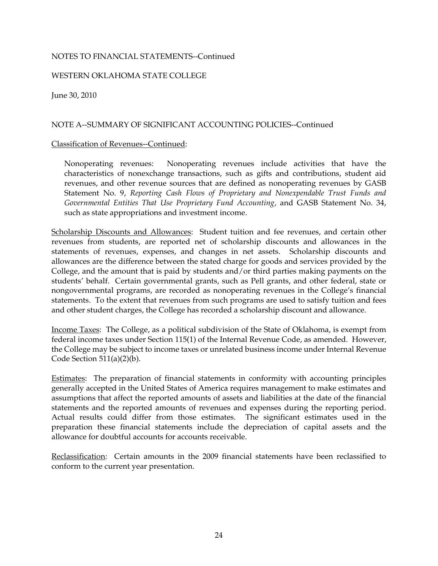### WESTERN OKLAHOMA STATE COLLEGE

June 30, 2010

# NOTE A--SUMMARY OF SIGNIFICANT ACCOUNTING POLICIES--Continued

#### Classification of Revenues--Continued:

Nonoperating revenues: Nonoperating revenues include activities that have the characteristics of nonexchange transactions, such as gifts and contributions, student aid revenues, and other revenue sources that are defined as nonoperating revenues by GASB Statement No. 9, *Reporting Cash Flows of Proprietary and Nonexpendable Trust Funds and Governmental Entities That Use Proprietary Fund Accounting*, and GASB Statement No. 34, such as state appropriations and investment income.

Scholarship Discounts and Allowances: Student tuition and fee revenues, and certain other revenues from students, are reported net of scholarship discounts and allowances in the statements of revenues, expenses, and changes in net assets. Scholarship discounts and allowances are the difference between the stated charge for goods and services provided by the College, and the amount that is paid by students and/or third parties making payments on the students' behalf. Certain governmental grants, such as Pell grants, and other federal, state or nongovernmental programs, are recorded as nonoperating revenues in the College's financial statements. To the extent that revenues from such programs are used to satisfy tuition and fees and other student charges, the College has recorded a scholarship discount and allowance.

Income Taxes: The College, as a political subdivision of the State of Oklahoma, is exempt from federal income taxes under Section 115(1) of the Internal Revenue Code, as amended. However, the College may be subject to income taxes or unrelated business income under Internal Revenue Code Section 511(a)(2)(b).

Estimates: The preparation of financial statements in conformity with accounting principles generally accepted in the United States of America requires management to make estimates and assumptions that affect the reported amounts of assets and liabilities at the date of the financial statements and the reported amounts of revenues and expenses during the reporting period. Actual results could differ from those estimates. The significant estimates used in the preparation these financial statements include the depreciation of capital assets and the allowance for doubtful accounts for accounts receivable.

Reclassification: Certain amounts in the 2009 financial statements have been reclassified to conform to the current year presentation.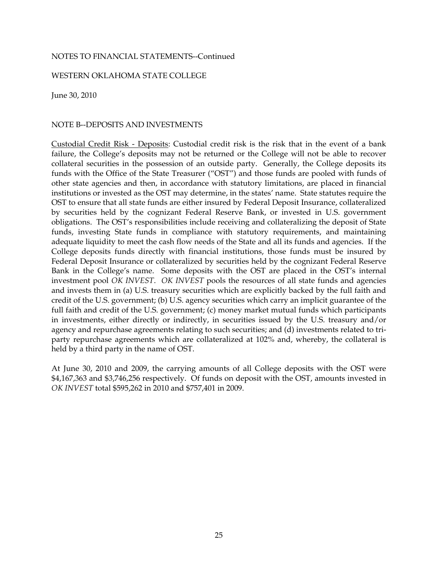#### WESTERN OKLAHOMA STATE COLLEGE

June 30, 2010

#### NOTE B--DEPOSITS AND INVESTMENTS

Custodial Credit Risk - Deposits: Custodial credit risk is the risk that in the event of a bank failure, the College's deposits may not be returned or the College will not be able to recover collateral securities in the possession of an outside party. Generally, the College deposits its funds with the Office of the State Treasurer ("OST") and those funds are pooled with funds of other state agencies and then, in accordance with statutory limitations, are placed in financial institutions or invested as the OST may determine, in the states' name. State statutes require the OST to ensure that all state funds are either insured by Federal Deposit Insurance, collateralized by securities held by the cognizant Federal Reserve Bank, or invested in U.S. government obligations. The OST's responsibilities include receiving and collateralizing the deposit of State funds, investing State funds in compliance with statutory requirements, and maintaining adequate liquidity to meet the cash flow needs of the State and all its funds and agencies. If the College deposits funds directly with financial institutions, those funds must be insured by Federal Deposit Insurance or collateralized by securities held by the cognizant Federal Reserve Bank in the College's name. Some deposits with the OST are placed in the OST's internal investment pool *OK INVEST*. *OK INVEST* pools the resources of all state funds and agencies and invests them in (a) U.S. treasury securities which are explicitly backed by the full faith and credit of the U.S. government; (b) U.S. agency securities which carry an implicit guarantee of the full faith and credit of the U.S. government; (c) money market mutual funds which participants in investments, either directly or indirectly, in securities issued by the U.S. treasury and/or agency and repurchase agreements relating to such securities; and (d) investments related to triparty repurchase agreements which are collateralized at 102% and, whereby, the collateral is held by a third party in the name of OST.

At June 30, 2010 and 2009, the carrying amounts of all College deposits with the OST were \$4,167,363 and \$3,746,256 respectively. Of funds on deposit with the OST, amounts invested in *OK INVEST* total \$595,262 in 2010 and \$757,401 in 2009.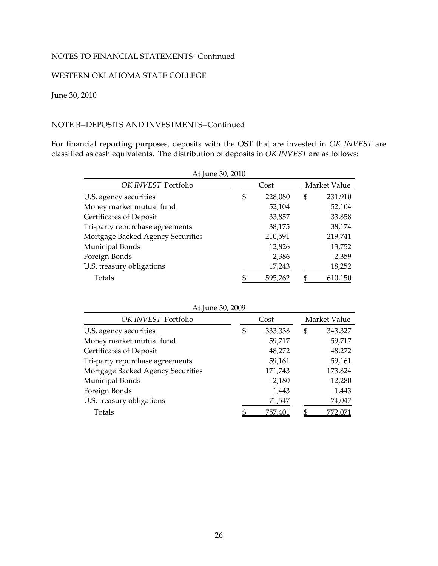# WESTERN OKLAHOMA STATE COLLEGE

# June 30, 2010

#### NOTE B--DEPOSITS AND INVESTMENTS--Continued

For financial reporting purposes, deposits with the OST that are invested in *OK INVEST* are classified as cash equivalents. The distribution of deposits in *OK INVEST* are as follows:

| At June 30, 2010                  |    |         |              |         |  |  |  |  |  |  |
|-----------------------------------|----|---------|--------------|---------|--|--|--|--|--|--|
| OK INVEST Portfolio               |    | Cost    | Market Value |         |  |  |  |  |  |  |
| U.S. agency securities            | \$ | 228,080 | \$           | 231,910 |  |  |  |  |  |  |
| Money market mutual fund          |    | 52,104  |              | 52,104  |  |  |  |  |  |  |
| <b>Certificates of Deposit</b>    |    | 33,857  |              | 33,858  |  |  |  |  |  |  |
| Tri-party repurchase agreements   |    | 38,175  |              | 38,174  |  |  |  |  |  |  |
| Mortgage Backed Agency Securities |    | 210,591 |              | 219,741 |  |  |  |  |  |  |
| Municipal Bonds                   |    | 12,826  |              | 13,752  |  |  |  |  |  |  |
| Foreign Bonds                     |    | 2,386   |              | 2,359   |  |  |  |  |  |  |
| U.S. treasury obligations         |    | 17,243  |              | 18,252  |  |  |  |  |  |  |
| Totals                            |    | 595,262 |              | 610,150 |  |  |  |  |  |  |

| At June 30, 2009 |
|------------------|
|------------------|

| OK INVEST Portfolio               | Cost |         |    |         |
|-----------------------------------|------|---------|----|---------|
| U.S. agency securities            | \$   | 333,338 | \$ | 343,327 |
| Money market mutual fund          |      | 59,717  |    | 59,717  |
| Certificates of Deposit           |      | 48,272  |    | 48,272  |
| Tri-party repurchase agreements   |      | 59,161  |    | 59,161  |
| Mortgage Backed Agency Securities |      | 171,743 |    | 173,824 |
| Municipal Bonds                   |      | 12,180  |    | 12,280  |
| Foreign Bonds                     |      | 1,443   |    | 1,443   |
| U.S. treasury obligations         |      | 71,547  |    | 74,047  |
| Totals                            |      | 757,401 |    | 772,071 |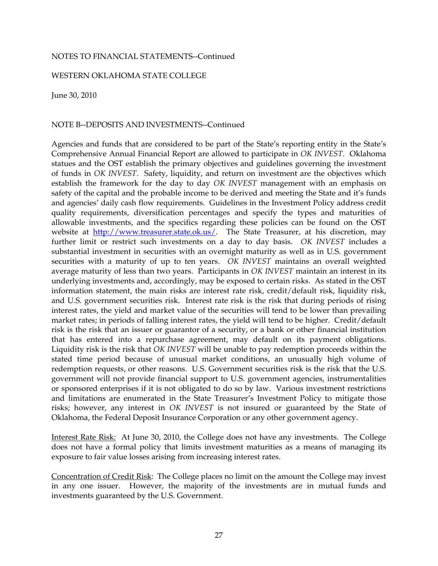#### WESTERN OKLAHOMA STATE COLLEGE

June 30, 2010

# NOTE B--DEPOSITS AND INVESTMENTS--Continued

Agencies and funds that are considered to be part of the State's reporting entity in the State's Comprehensive Annual Financial Report are allowed to participate in *OK INVEST*. Oklahoma statues and the OST establish the primary objectives and guidelines governing the investment of funds in *OK INVEST*. Safety, liquidity, and return on investment are the objectives which establish the framework for the day to day *OK INVEST* management with an emphasis on safety of the capital and the probable income to be derived and meeting the State and it's funds and agencies' daily cash flow requirements. Guidelines in the Investment Policy address credit quality requirements, diversification percentages and specify the types and maturities of allowable investments, and the specifics regarding these policies can be found on the OST website at http://www.treasurer.state.ok.us/. The State Treasurer, at his discretion, may further limit or restrict such investments on a day to day basis. *OK INVEST* includes a substantial investment in securities with an overnight maturity as well as in U.S. government securities with a maturity of up to ten years. *OK INVEST* maintains an overall weighted average maturity of less than two years. Participants in *OK INVEST* maintain an interest in its underlying investments and, accordingly, may be exposed to certain risks. As stated in the OST information statement, the main risks are interest rate risk, credit/default risk, liquidity risk, and U.S. government securities risk. Interest rate risk is the risk that during periods of rising interest rates, the yield and market value of the securities will tend to be lower than prevailing market rates; in periods of falling interest rates, the yield will tend to be higher. Credit/default risk is the risk that an issuer or guarantor of a security, or a bank or other financial institution that has entered into a repurchase agreement, may default on its payment obligations. Liquidity risk is the risk that *OK INVEST* will be unable to pay redemption proceeds within the stated time period because of unusual market conditions, an unusually high volume of redemption requests, or other reasons. U.S. Government securities risk is the risk that the U.S. government will not provide financial support to U.S. government agencies, instrumentalities or sponsored enterprises if it is not obligated to do so by law. Various investment restrictions and limitations are enumerated in the State Treasurer's Investment Policy to mitigate those risks; however, any interest in *OK INVEST* is not insured or guaranteed by the State of Oklahoma, the Federal Deposit Insurance Corporation or any other government agency.

Interest Rate Risk*:* At June 30, 2010, the College does not have any investments. The College does not have a formal policy that limits investment maturities as a means of managing its exposure to fair value losses arising from increasing interest rates.

Concentration of Credit Risk: The College places no limit on the amount the College may invest in any one issuer. However, the majority of the investments are in mutual funds and investments guaranteed by the U.S. Government.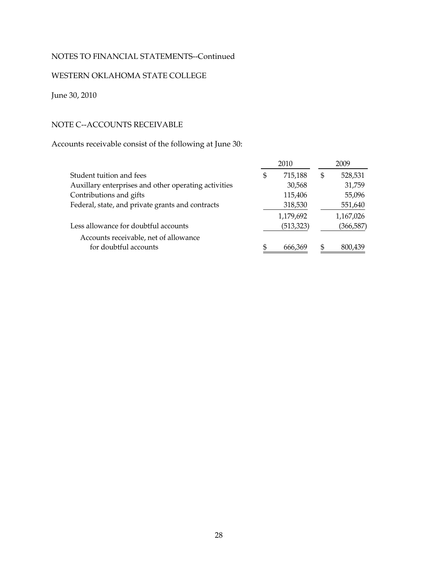# WESTERN OKLAHOMA STATE COLLEGE

# June 30, 2010

# NOTE C--ACCOUNTS RECEIVABLE

Accounts receivable consist of the following at June 30:

|                                                      | 2010          |   | 2009       |  |
|------------------------------------------------------|---------------|---|------------|--|
| Student tuition and fees                             | \$<br>715,188 | S | 528,531    |  |
| Auxillary enterprises and other operating activities | 30,568        |   | 31,759     |  |
| Contributions and gifts                              | 115,406       |   | 55,096     |  |
| Federal, state, and private grants and contracts     | 318,530       |   | 551,640    |  |
|                                                      | 1,179,692     |   | 1,167,026  |  |
| Less allowance for doubtful accounts                 | (513, 323)    |   | (366, 587) |  |
| Accounts receivable, net of allowance                |               |   |            |  |
| for doubtful accounts                                | 666,369       |   | 800,439    |  |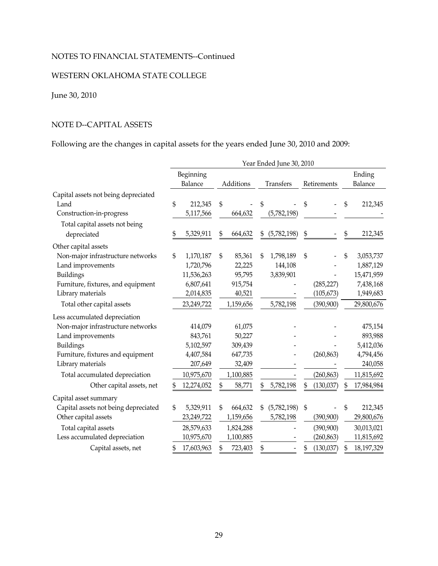# WESTERN OKLAHOMA STATE COLLEGE

# June 30, 2010

# NOTE D--CAPITAL ASSETS

Following are the changes in capital assets for the years ended June 30, 2010 and 2009:

|                                      | Year Ended June 30, 2010 |            |                        |           |    |             |             |            |         |            |  |
|--------------------------------------|--------------------------|------------|------------------------|-----------|----|-------------|-------------|------------|---------|------------|--|
|                                      |                          | Beginning  |                        |           |    |             |             |            |         | Ending     |  |
|                                      |                          | Balance    | Additions<br>Transfers |           |    |             | Retirements |            | Balance |            |  |
| Capital assets not being depreciated |                          |            |                        |           |    |             |             |            |         |            |  |
| Land                                 | \$                       | 212,345    | \$                     |           | \$ |             | \$          |            | \$      | 212,345    |  |
| Construction-in-progress             |                          | 5,117,566  |                        | 664,632   |    | (5,782,198) |             |            |         |            |  |
| Total capital assets not being       |                          |            |                        |           |    |             |             |            |         |            |  |
| depreciated                          | \$                       | 5,329,911  | \$                     | 664,632   | \$ | (5,782,198) | \$          |            | \$      | 212,345    |  |
| Other capital assets                 |                          |            |                        |           |    |             |             |            |         |            |  |
| Non-major infrastructure networks    | \$                       | 1,170,187  | \$                     | 85,361    | \$ | 1,798,189   | \$          |            | \$      | 3,053,737  |  |
| Land improvements                    |                          | 1,720,796  |                        | 22,225    |    | 144,108     |             |            |         | 1,887,129  |  |
| Buildings                            |                          | 11,536,263 |                        | 95,795    |    | 3,839,901   |             |            |         | 15,471,959 |  |
| Furniture, fixtures, and equipment   |                          | 6,807,641  |                        | 915,754   |    |             |             | (285, 227) |         | 7,438,168  |  |
| Library materials                    |                          | 2,014,835  |                        | 40,521    |    |             |             | (105, 673) |         | 1,949,683  |  |
| Total other capital assets           |                          | 23,249,722 |                        | 1,159,656 |    | 5,782,198   |             | (390, 900) |         | 29,800,676 |  |
| Less accumulated depreciation        |                          |            |                        |           |    |             |             |            |         |            |  |
| Non-major infrastructure networks    |                          | 414,079    |                        | 61,075    |    |             |             |            |         | 475,154    |  |
| Land improvements                    |                          | 843,761    |                        | 50,227    |    |             |             |            |         | 893,988    |  |
| Buildings                            |                          | 5,102,597  |                        | 309,439   |    |             |             |            |         | 5,412,036  |  |
| Furniture, fixtures and equipment    |                          | 4,407,584  |                        | 647,735   |    |             |             | (260, 863) |         | 4,794,456  |  |
| Library materials                    |                          | 207,649    |                        | 32,409    |    |             |             |            |         | 240,058    |  |
| Total accumulated depreciation       |                          | 10,975,670 |                        | 1,100,885 |    |             |             | (260, 863) |         | 11,815,692 |  |
| Other capital assets, net            | \$                       | 12,274,052 | \$                     | 58,771    | \$ | 5,782,198   | \$          | (130, 037) | \$      | 17,984,984 |  |
| Capital asset summary                |                          |            |                        |           |    |             |             |            |         |            |  |
| Capital assets not being depreciated | \$                       | 5,329,911  | \$                     | 664,632   | \$ | (5,782,198) | \$          |            | \$      | 212,345    |  |
| Other capital assets                 |                          | 23,249,722 |                        | 1,159,656 |    | 5,782,198   |             | (390, 900) |         | 29,800,676 |  |
| Total capital assets                 |                          | 28,579,633 |                        | 1,824,288 |    |             |             | (390, 900) |         | 30,013,021 |  |
| Less accumulated depreciation        |                          | 10,975,670 |                        | 1,100,885 |    |             |             | (260, 863) |         | 11,815,692 |  |
| Capital assets, net                  | \$                       | 17,603,963 | \$                     | 723,403   | \$ |             | \$          | (130, 037) | \$      | 18,197,329 |  |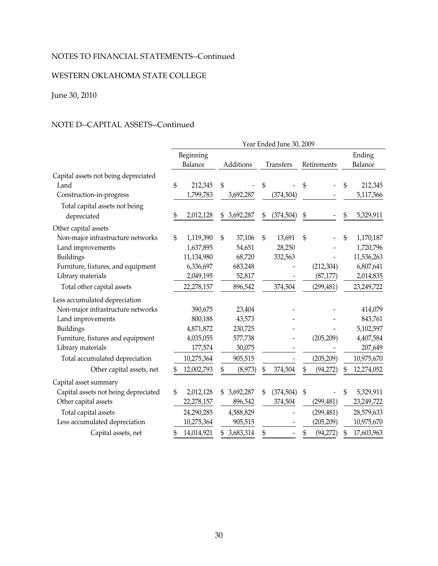# WESTERN OKLAHOMA STATE COLLEGE

# June 30, 2010

# NOTE D--CAPITAL ASSETS--Continued

|                                      | Year Ended June 30, 2009 |            |           |           |                  |            |             |            |    |            |  |
|--------------------------------------|--------------------------|------------|-----------|-----------|------------------|------------|-------------|------------|----|------------|--|
|                                      |                          | Beginning  |           |           |                  |            |             |            |    | Ending     |  |
|                                      |                          | Balance    | Additions |           | <b>Transfers</b> |            | Retirements |            |    | Balance    |  |
| Capital assets not being depreciated |                          |            |           |           |                  |            |             |            |    |            |  |
| Land                                 | \$                       | 212,345    | \$        |           | \$               |            | \$          |            | \$ | 212,345    |  |
| Construction-in-progress             |                          | 1,799,783  |           | 3,692,287 |                  | (374, 504) |             |            |    | 5,117,566  |  |
| Total capital assets not being       |                          |            |           |           |                  |            |             |            |    |            |  |
| depreciated                          | \$                       | 2,012,128  | \$        | 3,692,287 | \$               | (374, 504) | \$          |            | \$ | 5,329,911  |  |
| Other capital assets                 |                          |            |           |           |                  |            |             |            |    |            |  |
| Non-major infrastructure networks    | \$                       | 1,119,390  | \$        | 37,106    | \$               | 13,691     | \$          |            | \$ | 1,170,187  |  |
| Land improvements                    |                          | 1,637,895  |           | 54,651    |                  | 28,250     |             |            |    | 1,720,796  |  |
| Buildings                            |                          | 11,134,980 |           | 68,720    |                  | 332,563    |             |            |    | 11,536,263 |  |
| Furniture, fixtures, and equipment   |                          | 6,336,697  |           | 683,248   |                  |            |             | (212, 304) |    | 6,807,641  |  |
| Library materials                    |                          | 2,049,195  |           | 52,817    |                  |            |             | (87, 177)  |    | 2,014,835  |  |
| Total other capital assets           |                          | 22,278,157 |           | 896,542   |                  | 374,504    |             | (299, 481) |    | 23,249,722 |  |
| Less accumulated depreciation        |                          |            |           |           |                  |            |             |            |    |            |  |
| Non-major infrastructure networks    |                          | 390,675    |           | 23,404    |                  |            |             |            |    | 414,079    |  |
| Land improvements                    |                          | 800,188    |           | 43,573    |                  |            |             |            |    | 843,761    |  |
| <b>Buildings</b>                     |                          | 4,871,872  |           | 230,725   |                  |            |             |            |    | 5,102,597  |  |
| Furniture, fixtures and equipment    |                          | 4,035,055  |           | 577,738   |                  |            |             | (205, 209) |    | 4,407,584  |  |
| Library materials                    |                          | 177,574    |           | 30,075    |                  |            |             |            |    | 207,649    |  |
| Total accumulated depreciation       |                          | 10,275,364 |           | 905,515   |                  |            |             | (205, 209) |    | 10,975,670 |  |
| Other capital assets, net            |                          | 12,002,793 | \$        | (8,973)   | \$               | 374,504    | \$          | (94, 272)  | \$ | 12,274,052 |  |
| Capital asset summary                |                          |            |           |           |                  |            |             |            |    |            |  |
| Capital assets not being depreciated | \$                       | 2,012,128  | \$        | 3,692,287 | \$               | (374, 504) | \$          |            | \$ | 5,329,911  |  |
| Other capital assets                 |                          | 22,278,157 |           | 896,542   |                  | 374,504    |             | (299, 481) |    | 23,249,722 |  |
| Total capital assets                 |                          | 24,290,285 |           | 4,588,829 |                  |            |             | (299, 481) |    | 28,579,633 |  |
| Less accumulated depreciation        |                          | 10,275,364 |           | 905,515   |                  |            |             | (205, 209) |    | 10,975,670 |  |
| Capital assets, net                  | \$                       | 14,014,921 | \$        | 3,683,314 | \$               |            | \$          | (94, 272)  | \$ | 17,603,963 |  |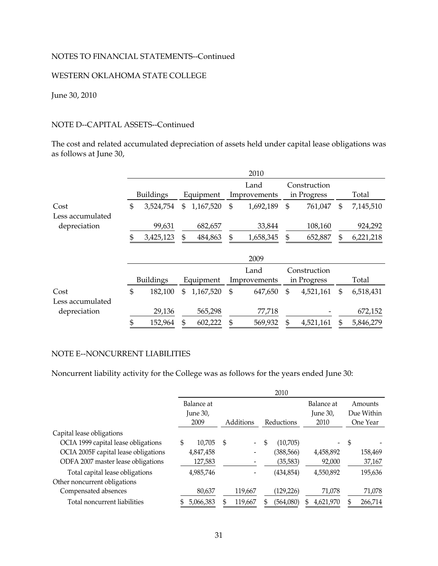# WESTERN OKLAHOMA STATE COLLEGE

June 30, 2010

### NOTE D--CAPITAL ASSETS--Continued

The cost and related accumulated depreciation of assets held under capital lease obligations was as follows at June 30,

|                  |                               |                  |           |           |                | Land         | Construction    |       |           |
|------------------|-------------------------------|------------------|-----------|-----------|----------------|--------------|-----------------|-------|-----------|
|                  |                               | <b>Buildings</b> | Equipment |           |                | Improvements | in Progress     |       | Total     |
| Cost             | \$                            | 3,524,754        | \$        | 1,167,520 | \$             | 1,692,189    | \$<br>761,047   | \$    | 7,145,510 |
| Less accumulated |                               |                  |           |           |                |              |                 |       |           |
| depreciation     |                               | 99,631           |           | 682,657   |                | 33,844       | 108,160         |       | 924,292   |
|                  | \$                            | 3,425,123        | \$        | 484,863   | \$             | 1,658,345    | \$<br>652,887   | \$    | 6,221,218 |
|                  |                               |                  |           |           |                |              |                 |       |           |
|                  |                               |                  |           |           |                | 2009         |                 |       |           |
|                  |                               |                  |           |           |                | Land         | Construction    |       |           |
|                  | <b>Buildings</b><br>Equipment |                  |           |           | Improvements   | in Progress  |                 | Total |           |
| Cost             | \$                            | 182,100          | \$        | 1,167,520 | $\mathfrak{S}$ | 647,650      | \$<br>4,521,161 | \$    | 6,518,431 |
| Less accumulated |                               |                  |           |           |                |              |                 |       |           |
| depreciation     |                               | 29,136           |           | 565,298   |                | 77,718       |                 |       | 672,152   |
|                  | \$                            | 152,964          |           | 602,222   | \$             | 569,932      | 4,521,161       | S     | 5,846,279 |

# NOTE E--NONCURRENT LIABILITIES

Noncurrent liability activity for the College was as follows for the years ended June 30:

|                                      |             |           |         |            | 2010       |   |                          |   |            |  |
|--------------------------------------|-------------|-----------|---------|------------|------------|---|--------------------------|---|------------|--|
|                                      | Balance at  |           |         |            |            |   | Balance at               |   | Amounts    |  |
|                                      | June $30r$  |           |         |            |            |   | June 30,                 |   | Due Within |  |
|                                      | 2009        | Additions |         | Reductions |            |   | 2010                     |   | One Year   |  |
| Capital lease obligations            |             |           |         |            |            |   |                          |   |            |  |
| OCIA 1999 capital lease obligations  | 10.705<br>S | S         |         | \$         | (10,705)   |   | $\overline{\phantom{a}}$ | S |            |  |
| OCIA 2005F capital lease obligations | 4,847,458   |           |         |            | (388, 566) |   | 4,458,892                |   | 158,469    |  |
| ODFA 2007 master lease obligations   | 127,583     |           |         |            | (35, 583)  |   | 92,000                   |   | 37,167     |  |
| Total capital lease obligations      | 4,985,746   |           |         |            | (434, 854) |   | 4,550,892                |   | 195,636    |  |
| Other noncurrent obligations         |             |           |         |            |            |   |                          |   |            |  |
| Compensated absences                 | 80,637      |           | 119,667 |            | (129, 226) |   | 71,078                   |   | 71,078     |  |
| Total noncurrent liabilities         | 5,066,383   |           | 119,667 |            | (564,080)  | S | 4,621,970                |   | 266,714    |  |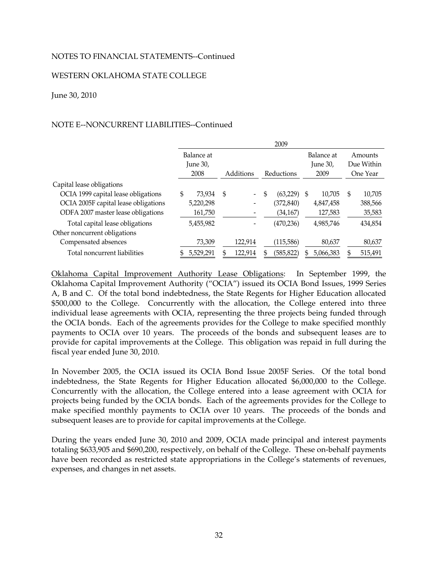#### WESTERN OKLAHOMA STATE COLLEGE

#### June 30, 2010

#### NOTE E--NONCURRENT LIABILITIES--Continued

|                                      |            |                                | 2009           |                |             |  |
|--------------------------------------|------------|--------------------------------|----------------|----------------|-------------|--|
|                                      | Balance at |                                | Balance at     | Amounts        |             |  |
|                                      | June 30,   |                                |                | June 30,       | Due Within  |  |
|                                      | 2008       | Additions                      | Reductions     | 2009           | One Year    |  |
| Capital lease obligations            |            |                                |                |                |             |  |
| OCIA 1999 capital lease obligations  | 73.934     | -S<br>$\overline{\phantom{a}}$ | \$<br>(63,229) | 10,705<br>S    | 10,705<br>S |  |
| OCIA 2005F capital lease obligations | 5,220,298  |                                | (372, 840)     | 4,847,458      | 388,566     |  |
| ODFA 2007 master lease obligations   | 161,750    |                                | (34, 167)      | 127,583        | 35,583      |  |
| Total capital lease obligations      | 5,455,982  |                                | (470, 236)     | 4,985,746      | 434,854     |  |
| Other noncurrent obligations         |            |                                |                |                |             |  |
| Compensated absences                 | 73,309     | 122.914                        | (115, 586)     | 80,637         | 80,637      |  |
| Total noncurrent liabilities         | 5,529,291  | 122.914                        | (585,822)      | 5,066,383<br>S | 515,491     |  |

Oklahoma Capital Improvement Authority Lease Obligations: In September 1999, the Oklahoma Capital Improvement Authority ("OCIA") issued its OCIA Bond Issues, 1999 Series A, B and C. Of the total bond indebtedness, the State Regents for Higher Education allocated \$500,000 to the College. Concurrently with the allocation, the College entered into three individual lease agreements with OCIA, representing the three projects being funded through the OCIA bonds. Each of the agreements provides for the College to make specified monthly payments to OCIA over 10 years. The proceeds of the bonds and subsequent leases are to provide for capital improvements at the College. This obligation was repaid in full during the fiscal year ended June 30, 2010.

In November 2005, the OCIA issued its OCIA Bond Issue 2005F Series. Of the total bond indebtedness, the State Regents for Higher Education allocated \$6,000,000 to the College. Concurrently with the allocation, the College entered into a lease agreement with OCIA for projects being funded by the OCIA bonds. Each of the agreements provides for the College to make specified monthly payments to OCIA over 10 years. The proceeds of the bonds and subsequent leases are to provide for capital improvements at the College.

During the years ended June 30, 2010 and 2009, OCIA made principal and interest payments totaling \$633,905 and \$690,200, respectively, on behalf of the College. These on-behalf payments have been recorded as restricted state appropriations in the College's statements of revenues, expenses, and changes in net assets.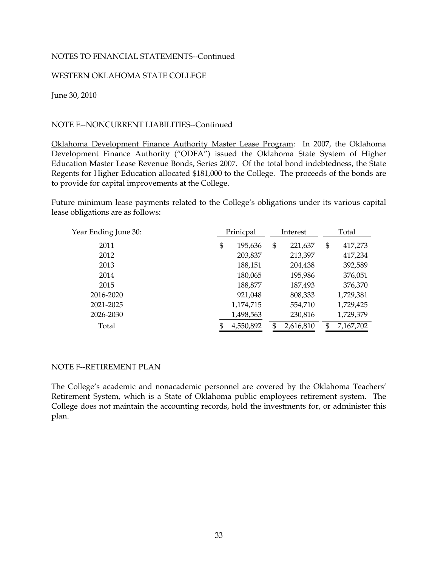# WESTERN OKLAHOMA STATE COLLEGE

June 30, 2010

# NOTE E--NONCURRENT LIABILITIES--Continued

Oklahoma Development Finance Authority Master Lease Program: In 2007, the Oklahoma Development Finance Authority ("ODFA") issued the Oklahoma State System of Higher Education Master Lease Revenue Bonds, Series 2007. Of the total bond indebtedness, the State Regents for Higher Education allocated \$181,000 to the College. The proceeds of the bonds are to provide for capital improvements at the College.

Future minimum lease payments related to the College's obligations under its various capital lease obligations are as follows:

| Year Ending June 30: | Prinicpal       |    | Interest  | Total |           |  |
|----------------------|-----------------|----|-----------|-------|-----------|--|
| 2011                 | \$<br>195,636   | \$ | 221,637   | \$    | 417,273   |  |
| 2012                 | 203,837         |    | 213,397   |       | 417,234   |  |
| 2013                 | 188,151         |    | 204,438   |       | 392,589   |  |
| 2014                 | 180,065         |    | 195,986   |       | 376,051   |  |
| 2015                 | 188,877         |    | 187,493   |       | 376,370   |  |
| 2016-2020            | 921,048         |    | 808,333   |       | 1,729,381 |  |
| 2021-2025            | 1,174,715       |    | 554,710   |       | 1,729,425 |  |
| 2026-2030            | 1,498,563       |    | 230,816   |       | 1,729,379 |  |
| Total                | 4,550,892<br>\$ | Я  | 2,616,810 | \$.   | 7,167,702 |  |

#### NOTE F--RETIREMENT PLAN

The College's academic and nonacademic personnel are covered by the Oklahoma Teachers' Retirement System, which is a State of Oklahoma public employees retirement system. The College does not maintain the accounting records, hold the investments for, or administer this plan.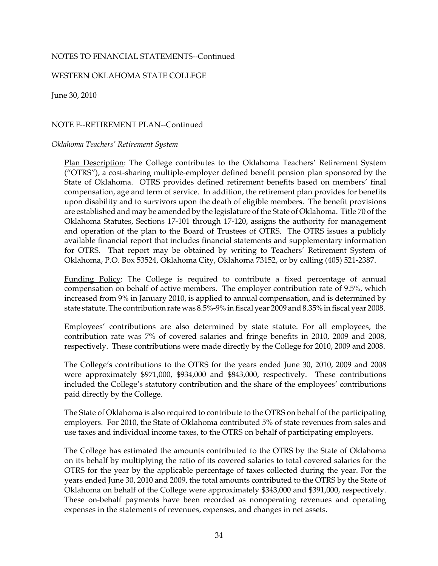#### WESTERN OKLAHOMA STATE COLLEGE

June 30, 2010

# NOTE F--RETIREMENT PLAN--Continued

#### *Oklahoma Teachers' Retirement System*

Plan Description: The College contributes to the Oklahoma Teachers' Retirement System ("OTRS"), a cost-sharing multiple-employer defined benefit pension plan sponsored by the State of Oklahoma. OTRS provides defined retirement benefits based on members' final compensation, age and term of service. In addition, the retirement plan provides for benefits upon disability and to survivors upon the death of eligible members. The benefit provisions are established and may be amended by the legislature of the State of Oklahoma. Title 70 of the Oklahoma Statutes, Sections 17-101 through 17-120, assigns the authority for management and operation of the plan to the Board of Trustees of OTRS. The OTRS issues a publicly available financial report that includes financial statements and supplementary information for OTRS. That report may be obtained by writing to Teachers' Retirement System of Oklahoma, P.O. Box 53524, Oklahoma City, Oklahoma 73152, or by calling (405) 521-2387.

Funding Policy: The College is required to contribute a fixed percentage of annual compensation on behalf of active members. The employer contribution rate of 9.5%, which increased from 9% in January 2010, is applied to annual compensation, and is determined by state statute.The contribution rate was 8.5%-9% in fiscal year 2009 and 8.35% in fiscal year 2008.

Employees' contributions are also determined by state statute. For all employees, the contribution rate was 7% of covered salaries and fringe benefits in 2010, 2009 and 2008, respectively. These contributions were made directly by the College for 2010, 2009 and 2008.

The College's contributions to the OTRS for the years ended June 30, 2010, 2009 and 2008 were approximately \$971,000, \$934,000 and \$843,000, respectively. These contributions included the College's statutory contribution and the share of the employees' contributions paid directly by the College.

The State of Oklahoma is also required to contribute to the OTRS on behalf of the participating employers. For 2010, the State of Oklahoma contributed 5% of state revenues from sales and use taxes and individual income taxes, to the OTRS on behalf of participating employers.

The College has estimated the amounts contributed to the OTRS by the State of Oklahoma on its behalf by multiplying the ratio of its covered salaries to total covered salaries for the OTRS for the year by the applicable percentage of taxes collected during the year. For the years ended June 30, 2010 and 2009, the total amounts contributed to the OTRS by the State of Oklahoma on behalf of the College were approximately \$343,000 and \$391,000, respectively. These on-behalf payments have been recorded as nonoperating revenues and operating expenses in the statements of revenues, expenses, and changes in net assets.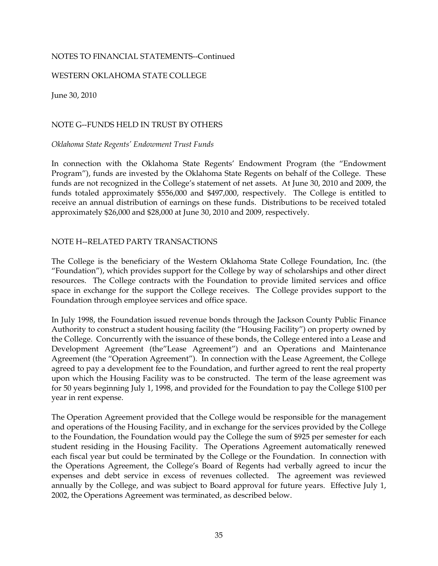# WESTERN OKLAHOMA STATE COLLEGE

June 30, 2010

# NOTE G--FUNDS HELD IN TRUST BY OTHERS

### *Oklahoma State Regents' Endowment Trust Funds*

In connection with the Oklahoma State Regents' Endowment Program (the "Endowment Program"), funds are invested by the Oklahoma State Regents on behalf of the College. These funds are not recognized in the College's statement of net assets. At June 30, 2010 and 2009, the funds totaled approximately \$556,000 and \$497,000, respectively. The College is entitled to receive an annual distribution of earnings on these funds. Distributions to be received totaled approximately \$26,000 and \$28,000 at June 30, 2010 and 2009, respectively.

# NOTE H--RELATED PARTY TRANSACTIONS

The College is the beneficiary of the Western Oklahoma State College Foundation, Inc. (the "Foundation"), which provides support for the College by way of scholarships and other direct resources. The College contracts with the Foundation to provide limited services and office space in exchange for the support the College receives. The College provides support to the Foundation through employee services and office space.

In July 1998, the Foundation issued revenue bonds through the Jackson County Public Finance Authority to construct a student housing facility (the "Housing Facility") on property owned by the College. Concurrently with the issuance of these bonds, the College entered into a Lease and Development Agreement (the"Lease Agreement") and an Operations and Maintenance Agreement (the "Operation Agreement"). In connection with the Lease Agreement, the College agreed to pay a development fee to the Foundation, and further agreed to rent the real property upon which the Housing Facility was to be constructed. The term of the lease agreement was for 50 years beginning July 1, 1998, and provided for the Foundation to pay the College \$100 per year in rent expense.

The Operation Agreement provided that the College would be responsible for the management and operations of the Housing Facility, and in exchange for the services provided by the College to the Foundation, the Foundation would pay the College the sum of \$925 per semester for each student residing in the Housing Facility. The Operations Agreement automatically renewed each fiscal year but could be terminated by the College or the Foundation. In connection with the Operations Agreement, the College's Board of Regents had verbally agreed to incur the expenses and debt service in excess of revenues collected. The agreement was reviewed annually by the College, and was subject to Board approval for future years. Effective July 1, 2002, the Operations Agreement was terminated, as described below.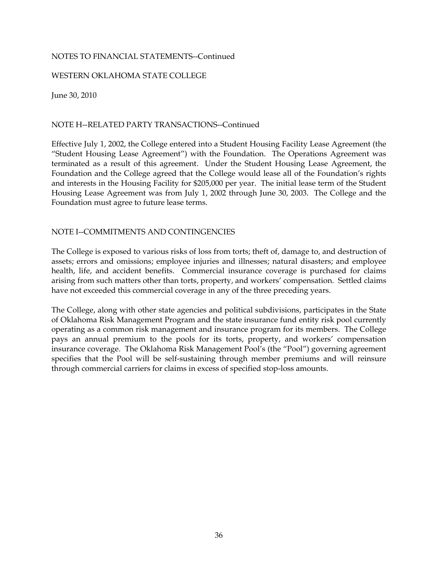# WESTERN OKLAHOMA STATE COLLEGE

June 30, 2010

# NOTE H--RELATED PARTY TRANSACTIONS--Continued

Effective July 1, 2002, the College entered into a Student Housing Facility Lease Agreement (the "Student Housing Lease Agreement") with the Foundation. The Operations Agreement was terminated as a result of this agreement. Under the Student Housing Lease Agreement, the Foundation and the College agreed that the College would lease all of the Foundation's rights and interests in the Housing Facility for \$205,000 per year. The initial lease term of the Student Housing Lease Agreement was from July 1, 2002 through June 30, 2003. The College and the Foundation must agree to future lease terms.

# NOTE I--COMMITMENTS AND CONTINGENCIES

The College is exposed to various risks of loss from torts; theft of, damage to, and destruction of assets; errors and omissions; employee injuries and illnesses; natural disasters; and employee health, life, and accident benefits. Commercial insurance coverage is purchased for claims arising from such matters other than torts, property, and workers' compensation. Settled claims have not exceeded this commercial coverage in any of the three preceding years.

The College, along with other state agencies and political subdivisions, participates in the State of Oklahoma Risk Management Program and the state insurance fund entity risk pool currently operating as a common risk management and insurance program for its members. The College pays an annual premium to the pools for its torts, property, and workers' compensation insurance coverage. The Oklahoma Risk Management Pool's (the "Pool") governing agreement specifies that the Pool will be self-sustaining through member premiums and will reinsure through commercial carriers for claims in excess of specified stop-loss amounts.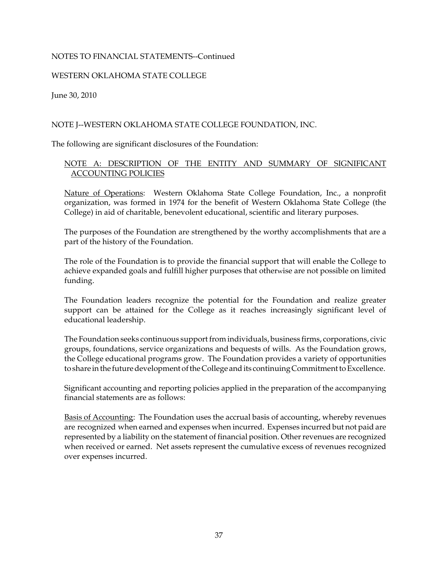# WESTERN OKLAHOMA STATE COLLEGE

June 30, 2010

# NOTE J--WESTERN OKLAHOMA STATE COLLEGE FOUNDATION, INC.

The following are significant disclosures of the Foundation:

# NOTE A: DESCRIPTION OF THE ENTITY AND SUMMARY OF SIGNIFICANT ACCOUNTING POLICIES

Nature of Operations: Western Oklahoma State College Foundation, Inc., a nonprofit organization, was formed in 1974 for the benefit of Western Oklahoma State College (the College) in aid of charitable, benevolent educational, scientific and literary purposes.

The purposes of the Foundation are strengthened by the worthy accomplishments that are a part of the history of the Foundation.

The role of the Foundation is to provide the financial support that will enable the College to achieve expanded goals and fulfill higher purposes that otherwise are not possible on limited funding.

The Foundation leaders recognize the potential for the Foundation and realize greater support can be attained for the College as it reaches increasingly significant level of educational leadership.

The Foundation seeks continuous support from individuals, business firms, corporations, civic groups, foundations, service organizations and bequests of wills. As the Foundation grows, the College educational programs grow. The Foundation provides a variety of opportunities to share in the future development of the College and its continuing Commitment to Excellence.

Significant accounting and reporting policies applied in the preparation of the accompanying financial statements are as follows:

Basis of Accounting: The Foundation uses the accrual basis of accounting, whereby revenues are recognized when earned and expenses when incurred. Expenses incurred but not paid are represented by a liability on the statement of financial position. Other revenues are recognized when received or earned. Net assets represent the cumulative excess of revenues recognized over expenses incurred.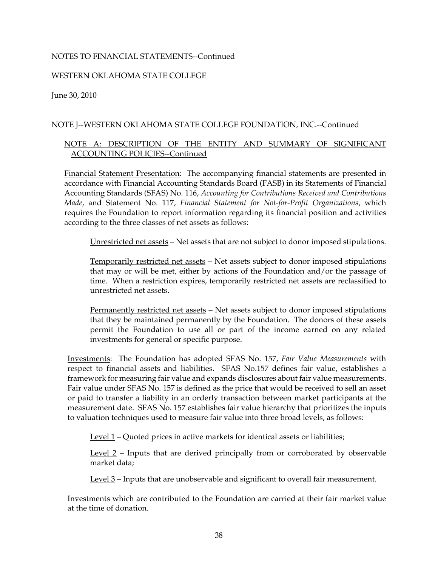#### WESTERN OKLAHOMA STATE COLLEGE

June 30, 2010

### NOTE J--WESTERN OKLAHOMA STATE COLLEGE FOUNDATION, INC.--Continued

# NOTE A: DESCRIPTION OF THE ENTITY AND SUMMARY OF SIGNIFICANT ACCOUNTING POLICIES--Continued

Financial Statement Presentation: The accompanying financial statements are presented in accordance with Financial Accounting Standards Board (FASB) in its Statements of Financial Accounting Standards (SFAS) No. 116, *Accounting for Contributions Received and Contributions Made*, and Statement No. 117, *Financial Statement for Not-for-Profit Organizations*, which requires the Foundation to report information regarding its financial position and activities according to the three classes of net assets as follows:

Unrestricted net assets – Net assets that are not subject to donor imposed stipulations.

Temporarily restricted net assets – Net assets subject to donor imposed stipulations that may or will be met, either by actions of the Foundation and/or the passage of time. When a restriction expires, temporarily restricted net assets are reclassified to unrestricted net assets.

Permanently restricted net assets – Net assets subject to donor imposed stipulations that they be maintained permanently by the Foundation. The donors of these assets permit the Foundation to use all or part of the income earned on any related investments for general or specific purpose.

Investments: The Foundation has adopted SFAS No. 157, *Fair Value Measurements* with respect to financial assets and liabilities. SFAS No.157 defines fair value, establishes a framework for measuring fair value and expands disclosures about fair value measurements. Fair value under SFAS No. 157 is defined as the price that would be received to sell an asset or paid to transfer a liability in an orderly transaction between market participants at the measurement date. SFAS No. 157 establishes fair value hierarchy that prioritizes the inputs to valuation techniques used to measure fair value into three broad levels, as follows:

Level 1 – Quoted prices in active markets for identical assets or liabilities;

Level 2 – Inputs that are derived principally from or corroborated by observable market data;

Level 3 – Inputs that are unobservable and significant to overall fair measurement.

Investments which are contributed to the Foundation are carried at their fair market value at the time of donation.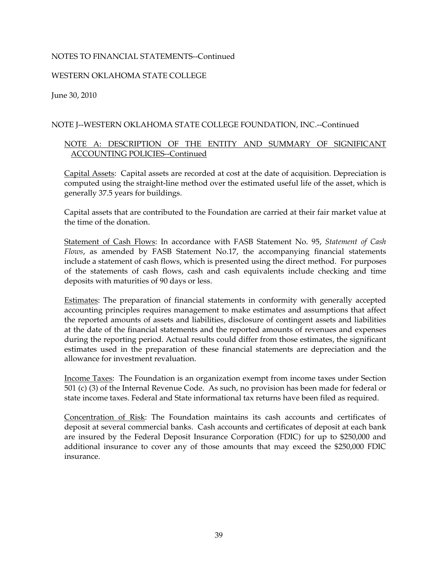# WESTERN OKLAHOMA STATE COLLEGE

June 30, 2010

# NOTE J--WESTERN OKLAHOMA STATE COLLEGE FOUNDATION, INC.--Continued

# NOTE A: DESCRIPTION OF THE ENTITY AND SUMMARY OF SIGNIFICANT ACCOUNTING POLICIES--Continued

Capital Assets: Capital assets are recorded at cost at the date of acquisition. Depreciation is computed using the straight-line method over the estimated useful life of the asset, which is generally 37.5 years for buildings.

Capital assets that are contributed to the Foundation are carried at their fair market value at the time of the donation.

Statement of Cash Flows: In accordance with FASB Statement No. 95, *Statement of Cash Flows*, as amended by FASB Statement No.17, the accompanying financial statements include a statement of cash flows, which is presented using the direct method. For purposes of the statements of cash flows, cash and cash equivalents include checking and time deposits with maturities of 90 days or less.

Estimates: The preparation of financial statements in conformity with generally accepted accounting principles requires management to make estimates and assumptions that affect the reported amounts of assets and liabilities, disclosure of contingent assets and liabilities at the date of the financial statements and the reported amounts of revenues and expenses during the reporting period. Actual results could differ from those estimates, the significant estimates used in the preparation of these financial statements are depreciation and the allowance for investment revaluation.

Income Taxes: The Foundation is an organization exempt from income taxes under Section 501 (c) (3) of the Internal Revenue Code. As such, no provision has been made for federal or state income taxes. Federal and State informational tax returns have been filed as required.

Concentration of Risk: The Foundation maintains its cash accounts and certificates of deposit at several commercial banks. Cash accounts and certificates of deposit at each bank are insured by the Federal Deposit Insurance Corporation (FDIC) for up to \$250,000 and additional insurance to cover any of those amounts that may exceed the \$250,000 FDIC insurance.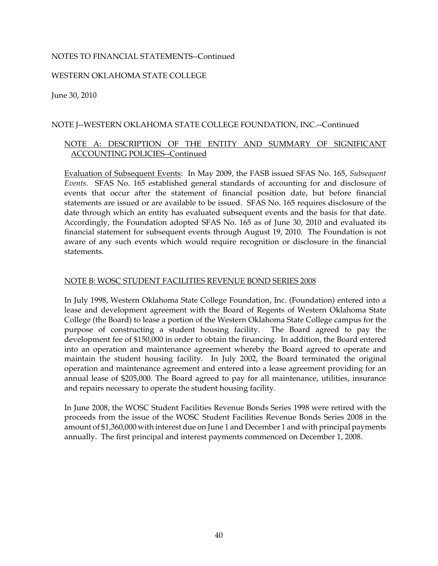### WESTERN OKLAHOMA STATE COLLEGE

June 30, 2010

# NOTE J--WESTERN OKLAHOMA STATE COLLEGE FOUNDATION, INC.--Continued

# NOTE A: DESCRIPTION OF THE ENTITY AND SUMMARY OF SIGNIFICANT ACCOUNTING POLICIES--Continued

Evaluation of Subsequent Events: In May 2009, the FASB issued SFAS No. 165, *Subsequent Events*. SFAS No. 165 established general standards of accounting for and disclosure of events that occur after the statement of financial position date, but before financial statements are issued or are available to be issued. SFAS No. 165 requires disclosure of the date through which an entity has evaluated subsequent events and the basis for that date. Accordingly, the Foundation adopted SFAS No. 165 as of June 30, 2010 and evaluated its financial statement for subsequent events through August 19, 2010. The Foundation is not aware of any such events which would require recognition or disclosure in the financial statements.

#### NOTE B: WOSC STUDENT FACILITIES REVENUE BOND SERIES 2008

In July 1998, Western Oklahoma State College Foundation, Inc. (Foundation) entered into a lease and development agreement with the Board of Regents of Western Oklahoma State College (the Board) to lease a portion of the Western Oklahoma State College campus for the purpose of constructing a student housing facility. The Board agreed to pay the development fee of \$150,000 in order to obtain the financing. In addition, the Board entered into an operation and maintenance agreement whereby the Board agreed to operate and maintain the student housing facility. In July 2002, the Board terminated the original operation and maintenance agreement and entered into a lease agreement providing for an annual lease of \$205,000. The Board agreed to pay for all maintenance, utilities, insurance and repairs necessary to operate the student housing facility.

In June 2008, the WOSC Student Facilities Revenue Bonds Series 1998 were retired with the proceeds from the issue of the WOSC Student Facilities Revenue Bonds Series 2008 in the amount of \$1,360,000 with interest due on June 1 and December 1 and with principal payments annually. The first principal and interest payments commenced on December 1, 2008.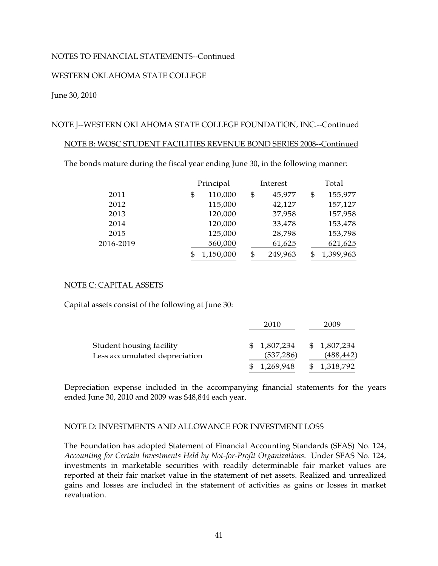# WESTERN OKLAHOMA STATE COLLEGE

# June 30, 2010

# NOTE J--WESTERN OKLAHOMA STATE COLLEGE FOUNDATION, INC.--Continued NOTE B: WOSC STUDENT FACILITIES REVENUE BOND SERIES 2008--Continued

The bonds mature during the fiscal year ending June 30, in the following manner:

|           | Principal     |    | Interest |    | Total     |
|-----------|---------------|----|----------|----|-----------|
| 2011      | \$<br>110,000 | \$ | 45,977   | \$ | 155,977   |
| 2012      | 115,000       |    | 42,127   |    | 157,127   |
| 2013      | 120,000       |    | 37,958   |    | 157,958   |
| 2014      | 120,000       |    | 33,478   |    | 153,478   |
| 2015      | 125,000       |    | 28,798   |    | 153,798   |
| 2016-2019 | 560,000       |    | 61,625   |    | 621,625   |
|           | 1,150,000     | \$ | 249,963  |    | 1,399,963 |

# NOTE C: CAPITAL ASSETS

Capital assets consist of the following at June 30:

|                                                           | 2010                      | 2009                      |
|-----------------------------------------------------------|---------------------------|---------------------------|
| Student housing facility<br>Less accumulated depreciation | \$1,807,234<br>(537, 286) | \$1,807,234<br>(488, 442) |
|                                                           | 1,269,948                 | 1,318,792                 |

Depreciation expense included in the accompanying financial statements for the years ended June 30, 2010 and 2009 was \$48,844 each year.

# NOTE D: INVESTMENTS AND ALLOWANCE FOR INVESTMENT LOSS

The Foundation has adopted Statement of Financial Accounting Standards (SFAS) No. 124, *Accounting for Certain Investments Held by Not-for-Profit Organizations*. Under SFAS No. 124, investments in marketable securities with readily determinable fair market values are reported at their fair market value in the statement of net assets. Realized and unrealized gains and losses are included in the statement of activities as gains or losses in market revaluation.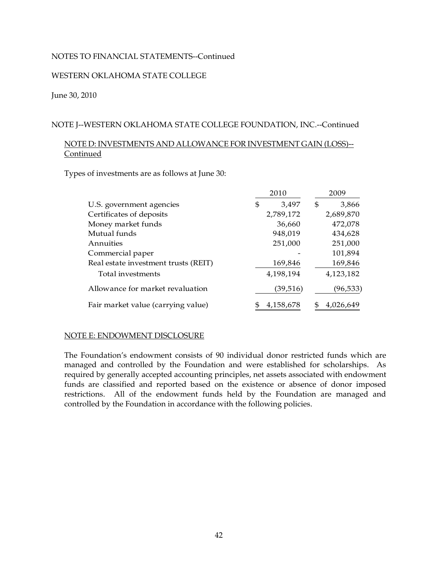# WESTERN OKLAHOMA STATE COLLEGE

### June 30, 2010

# NOTE J--WESTERN OKLAHOMA STATE COLLEGE FOUNDATION, INC.--Continued

# NOTE D: INVESTMENTS AND ALLOWANCE FOR INVESTMENT GAIN (LOSS)-- Continued

Types of investments are as follows at June 30:

|                                      | 2010        | 2009        |  |  |  |
|--------------------------------------|-------------|-------------|--|--|--|
| U.S. government agencies             | 3,497<br>\$ | \$<br>3,866 |  |  |  |
| Certificates of deposits             | 2,789,172   | 2,689,870   |  |  |  |
| Money market funds                   | 36,660      | 472,078     |  |  |  |
| Mutual funds                         | 948,019     | 434,628     |  |  |  |
| Annuities                            | 251,000     | 251,000     |  |  |  |
| Commercial paper                     |             | 101,894     |  |  |  |
| Real estate investment trusts (REIT) | 169,846     | 169,846     |  |  |  |
| Total investments                    | 4,198,194   | 4,123,182   |  |  |  |
| Allowance for market revaluation     | (39, 516)   | (96, 533)   |  |  |  |
| Fair market value (carrying value)   | 4,158,678   | 4,026,649   |  |  |  |

#### NOTE E: ENDOWMENT DISCLOSURE

The Foundation's endowment consists of 90 individual donor restricted funds which are managed and controlled by the Foundation and were established for scholarships. As required by generally accepted accounting principles, net assets associated with endowment funds are classified and reported based on the existence or absence of donor imposed restrictions. All of the endowment funds held by the Foundation are managed and controlled by the Foundation in accordance with the following policies.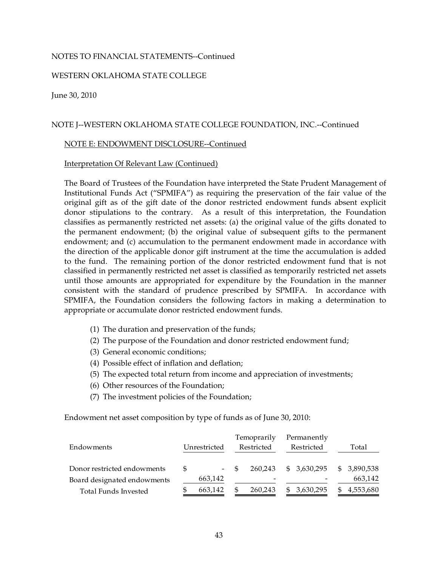#### WESTERN OKLAHOMA STATE COLLEGE

June 30, 2010

# NOTE J--WESTERN OKLAHOMA STATE COLLEGE FOUNDATION, INC.--Continued

#### NOTE E: ENDOWMENT DISCLOSURE--Continued

#### Interpretation Of Relevant Law (Continued)

The Board of Trustees of the Foundation have interpreted the State Prudent Management of Institutional Funds Act ("SPMIFA") as requiring the preservation of the fair value of the original gift as of the gift date of the donor restricted endowment funds absent explicit donor stipulations to the contrary. As a result of this interpretation, the Foundation classifies as permanently restricted net assets: (a) the original value of the gifts donated to the permanent endowment; (b) the original value of subsequent gifts to the permanent endowment; and (c) accumulation to the permanent endowment made in accordance with the direction of the applicable donor gift instrument at the time the accumulation is added to the fund. The remaining portion of the donor restricted endowment fund that is not classified in permanently restricted net asset is classified as temporarily restricted net assets until those amounts are appropriated for expenditure by the Foundation in the manner consistent with the standard of prudence prescribed by SPMIFA. In accordance with SPMIFA, the Foundation considers the following factors in making a determination to appropriate or accumulate donor restricted endowment funds.

- (1) The duration and preservation of the funds;
- (2) The purpose of the Foundation and donor restricted endowment fund;
- (3) General economic conditions;
- (4) Possible effect of inflation and deflation;
- (5) The expected total return from income and appreciation of investments;
- (6) Other resources of the Foundation;
- (7) The investment policies of the Foundation;

Endowment net asset composition by type of funds as of June 30, 2010:

| Endowments                  | Unrestricted |         |        |         | Restricted |              | Temoprarily |              | Permanently<br>Restricted |  |  | Total |
|-----------------------------|--------------|---------|--------|---------|------------|--------------|-------------|--------------|---------------------------|--|--|-------|
| Donor restricted endowments | \$.          |         | $-$ \$ | 260.243 |            | \$ 3,630,295 |             | \$ 3,890,538 |                           |  |  |       |
| Board designated endowments |              | 663,142 |        |         |            |              |             | 663,142      |                           |  |  |       |
| Total Funds Invested        |              | 663,142 |        | 260,243 |            | \$3,630,295  | SS.         | 4,553,680    |                           |  |  |       |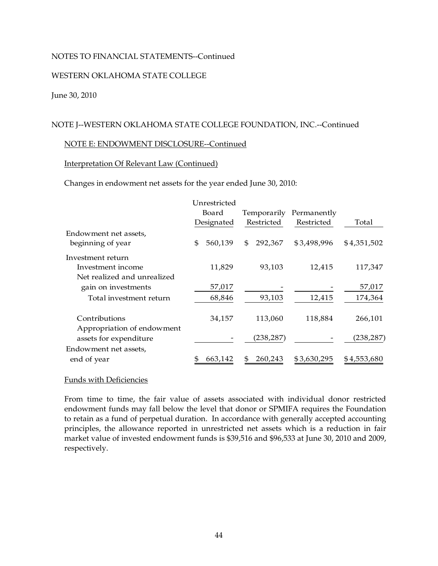#### WESTERN OKLAHOMA STATE COLLEGE

#### June 30, 2010

### NOTE J--WESTERN OKLAHOMA STATE COLLEGE FOUNDATION, INC.--Continued

#### NOTE E: ENDOWMENT DISCLOSURE--Continued

#### Interpretation Of Relevant Law (Continued)

Changes in endowment net assets for the year ended June 30, 2010:

|                             | Unrestricted  |             |            |             |             |
|-----------------------------|---------------|-------------|------------|-------------|-------------|
|                             | Board         | Temporarily |            | Permanently |             |
|                             | Designated    | Restricted  |            | Restricted  | Total       |
| Endowment net assets,       |               |             |            |             |             |
| beginning of year           | \$<br>560,139 | \$          | 292,367    | \$3,498,996 | \$4,351,502 |
| Investment return           |               |             |            |             |             |
| Investment income           | 11,829        |             | 93,103     | 12,415      | 117,347     |
| Net realized and unrealized |               |             |            |             |             |
| gain on investments         | 57,017        |             |            |             | 57,017      |
| Total investment return     | 68,846        |             | 93,103     | 12,415      | 174,364     |
| Contributions               | 34,157        |             | 113,060    | 118,884     | 266,101     |
| Appropriation of endowment  |               |             |            |             |             |
| assets for expenditure      |               |             | (238, 287) |             | (238,287)   |
| Endowment net assets,       |               |             |            |             |             |
| end of year                 | 663,142       |             | 260,243    | \$3,630,295 | \$4,553,680 |

#### Funds with Deficiencies

From time to time, the fair value of assets associated with individual donor restricted endowment funds may fall below the level that donor or SPMIFA requires the Foundation to retain as a fund of perpetual duration. In accordance with generally accepted accounting principles, the allowance reported in unrestricted net assets which is a reduction in fair market value of invested endowment funds is \$39,516 and \$96,533 at June 30, 2010 and 2009, respectively.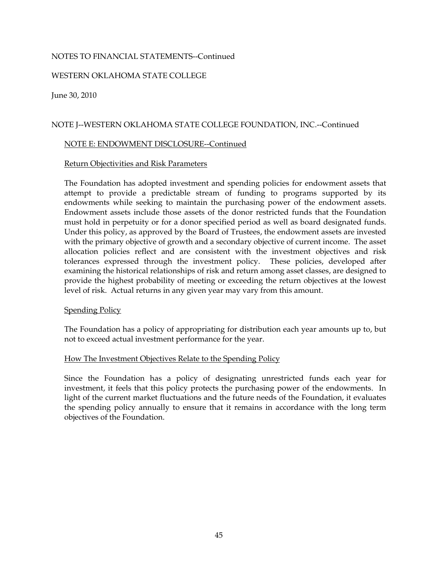# WESTERN OKLAHOMA STATE COLLEGE

June 30, 2010

# NOTE J--WESTERN OKLAHOMA STATE COLLEGE FOUNDATION, INC.--Continued

#### NOTE E: ENDOWMENT DISCLOSURE--Continued

#### Return Objectivities and Risk Parameters

The Foundation has adopted investment and spending policies for endowment assets that attempt to provide a predictable stream of funding to programs supported by its endowments while seeking to maintain the purchasing power of the endowment assets. Endowment assets include those assets of the donor restricted funds that the Foundation must hold in perpetuity or for a donor specified period as well as board designated funds. Under this policy, as approved by the Board of Trustees, the endowment assets are invested with the primary objective of growth and a secondary objective of current income. The asset allocation policies reflect and are consistent with the investment objectives and risk tolerances expressed through the investment policy. These policies, developed after examining the historical relationships of risk and return among asset classes, are designed to provide the highest probability of meeting or exceeding the return objectives at the lowest level of risk. Actual returns in any given year may vary from this amount.

#### Spending Policy

The Foundation has a policy of appropriating for distribution each year amounts up to, but not to exceed actual investment performance for the year.

#### How The Investment Objectives Relate to the Spending Policy

Since the Foundation has a policy of designating unrestricted funds each year for investment, it feels that this policy protects the purchasing power of the endowments. In light of the current market fluctuations and the future needs of the Foundation, it evaluates the spending policy annually to ensure that it remains in accordance with the long term objectives of the Foundation.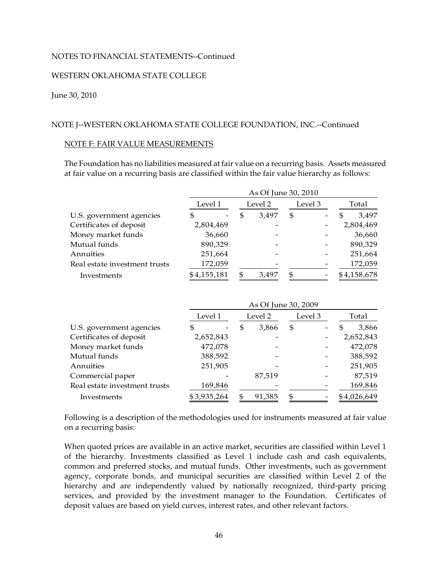#### WESTERN OKLAHOMA STATE COLLEGE

#### June 30, 2010

# NOTE J--WESTERN OKLAHOMA STATE COLLEGE FOUNDATION, INC.--Continued

#### NOTE F: FAIR VALUE MEASUREMENTS

The Foundation has no liabilities measured at fair value on a recurring basis. Assets measured at fair value on a recurring basis are classified within the fair value hierarchy as follows:

|                               | As Of June 30, 2010 |  |         |    |         |             |  |
|-------------------------------|---------------------|--|---------|----|---------|-------------|--|
|                               | Level 1             |  | Level 2 |    | Level 3 | Total       |  |
| U.S. government agencies      | \$                  |  | 3,497   | \$ |         | 3,497<br>\$ |  |
| Certificates of deposit       | 2,804,469           |  |         |    |         | 2,804,469   |  |
| Money market funds            | 36,660              |  |         |    |         | 36,660      |  |
| Mutual funds                  | 890,329             |  |         |    |         | 890,329     |  |
| Annuities                     | 251,664             |  |         |    |         | 251,664     |  |
| Real estate investment trusts | 172,059             |  |         |    |         | 172,059     |  |
| Investments                   | \$4,155,181         |  | 3,497   | S  |         | \$4,158,678 |  |

|                               | As Of June 30, 2009 |    |         |    |         |       |             |
|-------------------------------|---------------------|----|---------|----|---------|-------|-------------|
|                               | Level 1             |    | Level 2 |    | Level 3 | Total |             |
| U.S. government agencies      | \$                  | \$ | 3,866   | \$ |         | S     | 3,866       |
| Certificates of deposit       | 2,652,843           |    |         |    |         |       | 2,652,843   |
| Money market funds            | 472,078             |    |         |    |         |       | 472,078     |
| Mutual funds                  | 388,592             |    |         |    |         |       | 388,592     |
| Annuities                     | 251,905             |    |         |    |         |       | 251,905     |
| Commercial paper              |                     |    | 87,519  |    |         |       | 87,519      |
| Real estate investment trusts | 169,846             |    |         |    |         |       | 169,846     |
| Investments                   | \$3,935,264         |    | 91,385  | \$ |         |       | \$4,026,649 |

Following is a description of the methodologies used for instruments measured at fair value on a recurring basis:

When quoted prices are available in an active market, securities are classified within Level 1 of the hierarchy. Investments classified as Level 1 include cash and cash equivalents, common and preferred stocks, and mutual funds. Other investments, such as government agency, corporate bonds, and municipal securities are classified within Level 2 of the hierarchy and are independently valued by nationally recognized, third-party pricing services, and provided by the investment manager to the Foundation. Certificates of deposit values are based on yield curves, interest rates, and other relevant factors.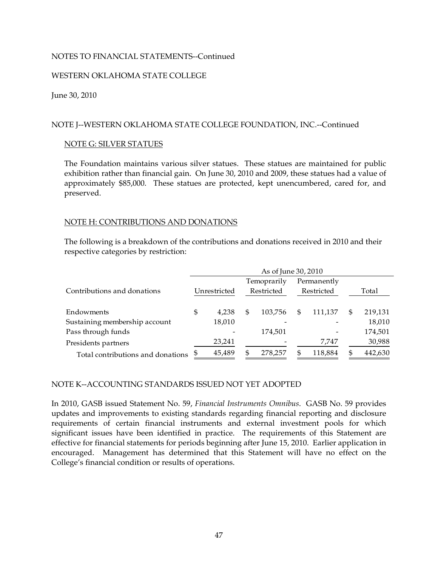#### WESTERN OKLAHOMA STATE COLLEGE

June 30, 2010

# NOTE J--WESTERN OKLAHOMA STATE COLLEGE FOUNDATION, INC.--Continued

#### NOTE G: SILVER STATUES

The Foundation maintains various silver statues. These statues are maintained for public exhibition rather than financial gain. On June 30, 2010 and 2009, these statues had a value of approximately \$85,000. These statues are protected, kept unencumbered, cared for, and preserved.

### NOTE H: CONTRIBUTIONS AND DONATIONS

The following is a breakdown of the contributions and donations received in 2010 and their respective categories by restriction:

|                                   | As of June 30, 2010 |              |    |             |    |             |     |         |
|-----------------------------------|---------------------|--------------|----|-------------|----|-------------|-----|---------|
|                                   |                     |              |    | Temoprarily |    | Permanently |     |         |
| Contributions and donations       |                     | Unrestricted |    | Restricted  |    | Restricted  |     | Total   |
|                                   |                     |              |    |             |    |             |     |         |
| Endowments                        | \$                  | 4.238        | \$ | 103,756     | \$ | 111,137     | \$. | 219,131 |
| Sustaining membership account     |                     | 18,010       |    |             |    |             |     | 18,010  |
| Pass through funds                |                     |              |    | 174,501     |    |             |     | 174,501 |
| Presidents partners               |                     | 23,241       |    |             |    | 7,747       |     | 30,988  |
| Total contributions and donations |                     | 45,489       |    | 278,257     |    | 118,884     |     | 442,630 |

#### NOTE K--ACCOUNTING STANDARDS ISSUED NOT YET ADOPTED

In 2010, GASB issued Statement No. 59, *Financial Instruments Omnibus*. GASB No. 59 provides updates and improvements to existing standards regarding financial reporting and disclosure requirements of certain financial instruments and external investment pools for which significant issues have been identified in practice. The requirements of this Statement are effective for financial statements for periods beginning after June 15, 2010. Earlier application in encouraged. Management has determined that this Statement will have no effect on the College's financial condition or results of operations.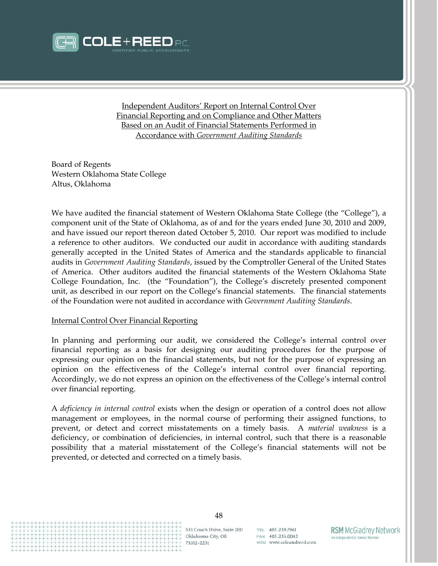

Independent Auditors' Report on Internal Control Over Financial Reporting and on Compliance and Other Matters Based on an Audit of Financial Statements Performed in Accordance with *Government Auditing Standards*

Board of Regents Western Oklahoma State College Altus, Oklahoma

We have audited the financial statement of Western Oklahoma State College (the "College"), a component unit of the State of Oklahoma, as of and for the years ended June 30, 2010 and 2009, and have issued our report thereon dated October 5, 2010. Our report was modified to include a reference to other auditors. We conducted our audit in accordance with auditing standards generally accepted in the United States of America and the standards applicable to financial audits in *Government Auditing Standards*, issued by the Comptroller General of the United States of America. Other auditors audited the financial statements of the Western Oklahoma State College Foundation, Inc. (the "Foundation"), the College's discretely presented component unit, as described in our report on the College's financial statements. The financial statements of the Foundation were not audited in accordance with *Government Auditing Standards*.

#### Internal Control Over Financial Reporting

In planning and performing our audit, we considered the College's internal control over financial reporting as a basis for designing our auditing procedures for the purpose of expressing our opinion on the financial statements, but not for the purpose of expressing an opinion on the effectiveness of the College's internal control over financial reporting. Accordingly, we do not express an opinion on the effectiveness of the College's internal control over financial reporting.

A *deficiency in internal control* exists when the design or operation of a control does not allow management or employees, in the normal course of performing their assigned functions, to prevent, or detect and correct misstatements on a timely basis. A *material weakness* is a deficiency, or combination of deficiencies, in internal control, such that there is a reasonable possibility that a material misstatement of the College's financial statements will not be prevented, or detected and corrected on a timely basis.



531 Couch Drive, Suite 200 Oklahoma City, OK 73102-2251

TEL 405.239.7961 FAX 405.235.0042 WEB www.coleandreed.com **RSM McGladrey Network** An Independently Owned Member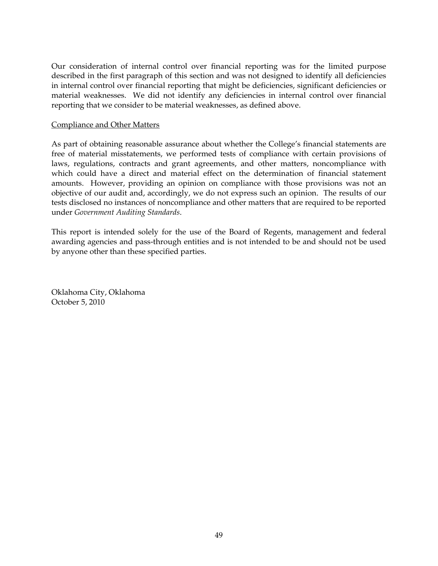Our consideration of internal control over financial reporting was for the limited purpose described in the first paragraph of this section and was not designed to identify all deficiencies in internal control over financial reporting that might be deficiencies, significant deficiencies or material weaknesses. We did not identify any deficiencies in internal control over financial reporting that we consider to be material weaknesses, as defined above.

### Compliance and Other Matters

As part of obtaining reasonable assurance about whether the College's financial statements are free of material misstatements, we performed tests of compliance with certain provisions of laws, regulations, contracts and grant agreements, and other matters, noncompliance with which could have a direct and material effect on the determination of financial statement amounts. However, providing an opinion on compliance with those provisions was not an objective of our audit and, accordingly, we do not express such an opinion. The results of our tests disclosed no instances of noncompliance and other matters that are required to be reported under *Government Auditing Standards*.

This report is intended solely for the use of the Board of Regents, management and federal awarding agencies and pass-through entities and is not intended to be and should not be used by anyone other than these specified parties.

Oklahoma City, Oklahoma October 5, 2010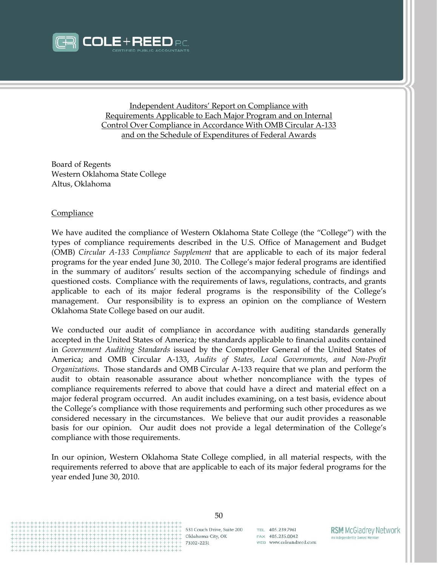

Independent Auditors' Report on Compliance with Requirements Applicable to Each Major Program and on Internal Control Over Compliance in Accordance With OMB Circular A-133 and on the Schedule of Expenditures of Federal Awards

Board of Regents Western Oklahoma State College Altus, Oklahoma

#### **Compliance**

We have audited the compliance of Western Oklahoma State College (the "College") with the types of compliance requirements described in the U.S. Office of Management and Budget (OMB) *Circular A-133 Compliance Supplement* that are applicable to each of its major federal programs for the year ended June 30, 2010. The College's major federal programs are identified in the summary of auditors' results section of the accompanying schedule of findings and questioned costs. Compliance with the requirements of laws, regulations, contracts, and grants applicable to each of its major federal programs is the responsibility of the College's management. Our responsibility is to express an opinion on the compliance of Western Oklahoma State College based on our audit.

We conducted our audit of compliance in accordance with auditing standards generally accepted in the United States of America; the standards applicable to financial audits contained in *Government Auditing Standards* issued by the Comptroller General of the United States of America; and OMB Circular A-133, *Audits of States, Local Governments, and Non-Profit Organizations*. Those standards and OMB Circular A-133 require that we plan and perform the audit to obtain reasonable assurance about whether noncompliance with the types of compliance requirements referred to above that could have a direct and material effect on a major federal program occurred. An audit includes examining, on a test basis, evidence about the College's compliance with those requirements and performing such other procedures as we considered necessary in the circumstances. We believe that our audit provides a reasonable basis for our opinion. Our audit does not provide a legal determination of the College's compliance with those requirements.

In our opinion, Western Oklahoma State College complied, in all material respects, with the requirements referred to above that are applicable to each of its major federal programs for the year ended June 30, 2010.



531 Couch Drive, Suite 200 Oklahoma City, OK 73102-2251

TEL 405.239.7961 FAX 405.235.0042 WEB www.coleandreed.com **RSM McGladrey Network** An Independently Owned Member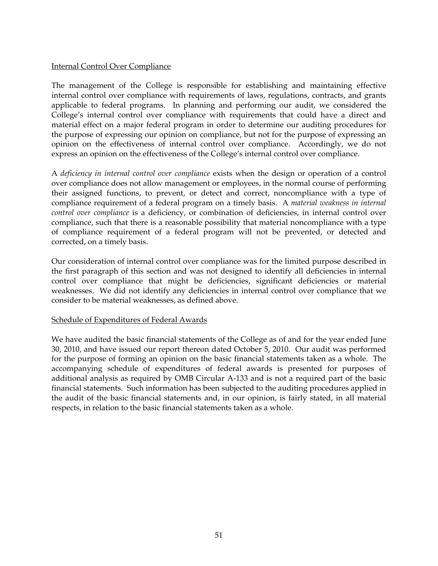# Internal Control Over Compliance

The management of the College is responsible for establishing and maintaining effective internal control over compliance with requirements of laws, regulations, contracts, and grants applicable to federal programs. In planning and performing our audit, we considered the College's internal control over compliance with requirements that could have a direct and material effect on a major federal program in order to determine our auditing procedures for the purpose of expressing our opinion on compliance, but not for the purpose of expressing an opinion on the effectiveness of internal control over compliance. Accordingly, we do not express an opinion on the effectiveness of the College's internal control over compliance.

A *deficiency in internal control over compliance* exists when the design or operation of a control over compliance does not allow management or employees, in the normal course of performing their assigned functions, to prevent, or detect and correct, noncompliance with a type of compliance requirement of a federal program on a timely basis. A *material weakness in internal control over compliance* is a deficiency, or combination of deficiencies, in internal control over compliance, such that there is a reasonable possibility that material noncompliance with a type of compliance requirement of a federal program will not be prevented, or detected and corrected, on a timely basis.

Our consideration of internal control over compliance was for the limited purpose described in the first paragraph of this section and was not designed to identify all deficiencies in internal control over compliance that might be deficiencies, significant deficiencies or material weaknesses. We did not identify any deficiencies in internal control over compliance that we consider to be material weaknesses, as defined above.

#### Schedule of Expenditures of Federal Awards

We have audited the basic financial statements of the College as of and for the year ended June 30, 2010, and have issued our report thereon dated October 5, 2010. Our audit was performed for the purpose of forming an opinion on the basic financial statements taken as a whole. The accompanying schedule of expenditures of federal awards is presented for purposes of additional analysis as required by OMB Circular A-133 and is not a required part of the basic financial statements. Such information has been subjected to the auditing procedures applied in the audit of the basic financial statements and, in our opinion, is fairly stated, in all material respects, in relation to the basic financial statements taken as a whole.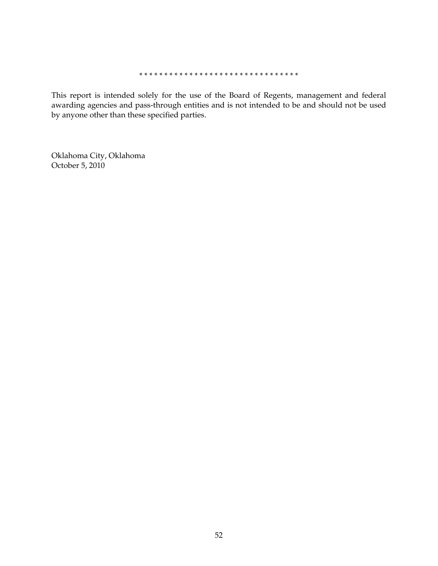\* \* \* \* \* \* \* \* \* \* \* \* \* \* \* \* \* \* \* \* \* \* \* \* \* \* \* \* \* \* \* \*

This report is intended solely for the use of the Board of Regents, management and federal awarding agencies and pass-through entities and is not intended to be and should not be used by anyone other than these specified parties.

Oklahoma City, Oklahoma October 5, 2010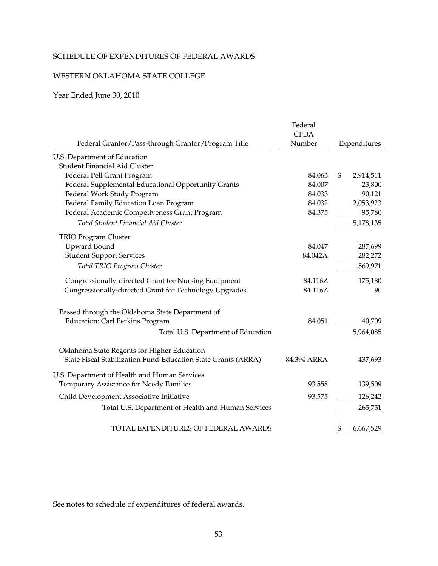# SCHEDULE OF EXPENDITURES OF FEDERAL AWARDS

# WESTERN OKLAHOMA STATE COLLEGE

Year Ended June 30, 2010

|                                                               | Federal<br><b>CFDA</b> |                 |
|---------------------------------------------------------------|------------------------|-----------------|
| Federal Grantor/Pass-through Grantor/Program Title            | Number                 | Expenditures    |
| U.S. Department of Education                                  |                        |                 |
| Student Financial Aid Cluster                                 |                        |                 |
| Federal Pell Grant Program                                    | 84.063                 | \$<br>2,914,511 |
| Federal Supplemental Educational Opportunity Grants           | 84.007                 | 23,800          |
| Federal Work Study Program                                    | 84.033                 | 90,121          |
| Federal Family Education Loan Program                         | 84.032                 | 2,053,923       |
| Federal Academic Competiveness Grant Program                  | 84.375                 | 95,780          |
| Total Student Financial Aid Cluster                           |                        | 5,178,135       |
| TRIO Program Cluster                                          |                        |                 |
| Upward Bound                                                  | 84.047                 | 287,699         |
| <b>Student Support Services</b>                               | 84.042A                | 282,272         |
| Total TRIO Program Cluster                                    |                        | 569,971         |
| Congressionally-directed Grant for Nursing Equipment          | 84.116Z                | 175,180         |
| Congressionally-directed Grant for Technology Upgrades        | 84.116Z                | 90              |
| Passed through the Oklahoma State Department of               |                        |                 |
| <b>Education: Carl Perkins Program</b>                        | 84.051                 | 40,709          |
| Total U.S. Department of Education                            |                        | 5,964,085       |
| Oklahoma State Regents for Higher Education                   |                        |                 |
| State Fiscal Stabilization Fund-Education State Grants (ARRA) | 84.394 ARRA            | 437,693         |
| U.S. Department of Health and Human Services                  |                        |                 |
| Temporary Assistance for Needy Families                       | 93.558                 | 139,509         |
| Child Development Associative Initiative                      | 93.575                 | 126,242         |
| Total U.S. Department of Health and Human Services            |                        | 265,751         |
| TOTAL EXPENDITURES OF FEDERAL AWARDS                          |                        | \$<br>6,667,529 |

See notes to schedule of expenditures of federal awards.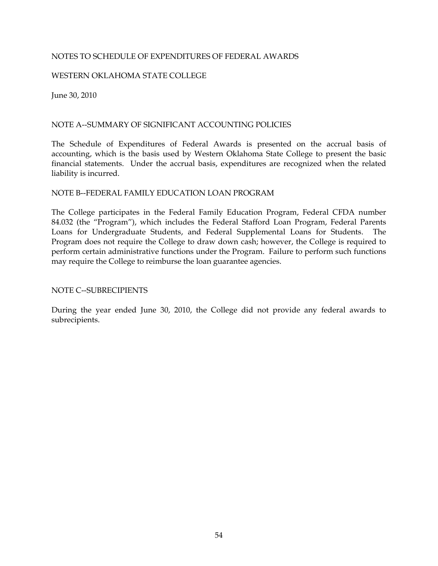# NOTES TO SCHEDULE OF EXPENDITURES OF FEDERAL AWARDS

# WESTERN OKLAHOMA STATE COLLEGE

June 30, 2010

# NOTE A--SUMMARY OF SIGNIFICANT ACCOUNTING POLICIES

The Schedule of Expenditures of Federal Awards is presented on the accrual basis of accounting, which is the basis used by Western Oklahoma State College to present the basic financial statements. Under the accrual basis, expenditures are recognized when the related liability is incurred.

#### NOTE B--FEDERAL FAMILY EDUCATION LOAN PROGRAM

The College participates in the Federal Family Education Program, Federal CFDA number 84.032 (the "Program"), which includes the Federal Stafford Loan Program, Federal Parents Loans for Undergraduate Students, and Federal Supplemental Loans for Students. The Program does not require the College to draw down cash; however, the College is required to perform certain administrative functions under the Program. Failure to perform such functions may require the College to reimburse the loan guarantee agencies.

# NOTE C--SUBRECIPIENTS

During the year ended June 30, 2010, the College did not provide any federal awards to subrecipients.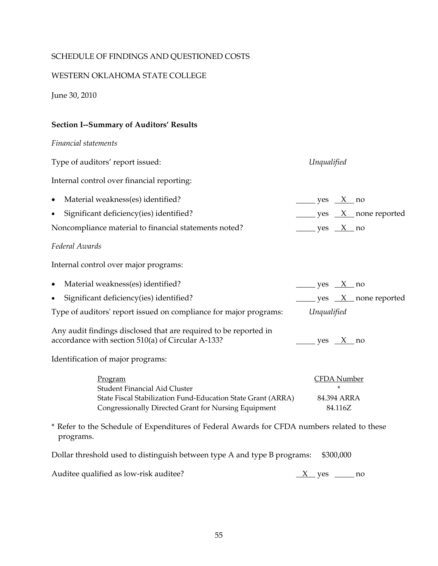# SCHEDULE OF FINDINGS AND QUESTIONED COSTS

# WESTERN OKLAHOMA STATE COLLEGE

June 30, 2010

### **Section I--Summary of Auditors' Results**

*Financial statements*

Type of auditors' report issued: *Unqualified* Internal control over financial reporting: • Material weakness(es) identified?  $\qquad \qquad \qquad \qquad \qquad \qquad \qquad \qquad \qquad \qquad \text{yes} \quad X \quad \text{no}$ Significant deficiency(ies) identified? yes X none reported Noncompliance material to financial statements noted?  $\qquad \qquad \qquad \qquad \qquad \qquad \qquad \text{yes} \quad X \quad \text{no}$ *Federal Awards*  Internal control over major programs: • Material weakness(es) identified? ves X no Significant deficiency(ies) identified? yes X none reported Type of auditors' report issued on compliance for major programs: *Unqualified* Any audit findings disclosed that are required to be reported in accordance with section 510(a) of Circular A-133? yes  $X$  no Identification of major programs: CFDA Number Student Financial Aid Cluster \* State Fiscal Stabilization Fund-Education State Grant (ARRA) 84.394 ARRA Congressionally Directed Grant for Nursing Equipment 84.116Z Program \* Refer to the Schedule of Expenditures of Federal Awards for CFDA numbers related to these programs. Dollar threshold used to distinguish between type A and type B programs: \$300,000

| Auditee qualified as low-risk auditee? | X ves<br>no |
|----------------------------------------|-------------|
|----------------------------------------|-------------|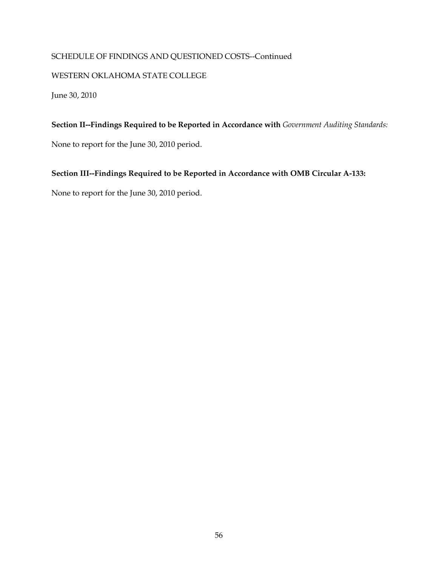# SCHEDULE OF FINDINGS AND QUESTIONED COSTS--Continued

# WESTERN OKLAHOMA STATE COLLEGE

June 30, 2010

**Section II--Findings Required to be Reported in Accordance with** *Government Auditing Standards:* 

None to report for the June 30, 2010 period.

# **Section III--Findings Required to be Reported in Accordance with OMB Circular A-133:**

None to report for the June 30, 2010 period.